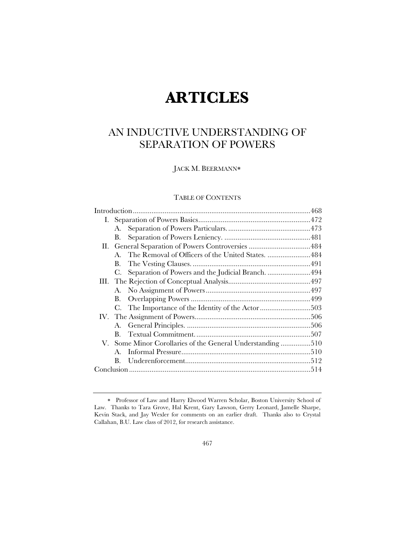# **ARTICLES**

# AN INDUCTIVE UNDERSTANDING OF SEPARATION OF POWERS

JACK M. BEERMANN

# TABLE OF CONTENTS

|      | А.                                                        |                                                      |  |
|------|-----------------------------------------------------------|------------------------------------------------------|--|
|      | В.                                                        |                                                      |  |
| П. - |                                                           |                                                      |  |
|      |                                                           | A. The Removal of Officers of the United States. 484 |  |
|      | В.                                                        |                                                      |  |
|      | C.                                                        | Separation of Powers and the Judicial Branch. 494    |  |
|      |                                                           |                                                      |  |
|      | A.                                                        |                                                      |  |
|      | В.                                                        |                                                      |  |
|      |                                                           |                                                      |  |
|      |                                                           |                                                      |  |
|      |                                                           |                                                      |  |
|      | $\mathbf{B}$ .                                            |                                                      |  |
|      | V. Some Minor Corollaries of the General Understanding510 |                                                      |  |
|      |                                                           |                                                      |  |
|      | $\mathbf{B}$ .                                            |                                                      |  |
|      |                                                           |                                                      |  |
|      |                                                           |                                                      |  |

Professor of Law and Harry Elwood Warren Scholar, Boston University School of Law. Thanks to Tara Grove, Hal Krent, Gary Lawson, Gerry Leonard, Jamelle Sharpe, Kevin Stack, and Jay Wexler for comments on an earlier draft. Thanks also to Crystal Callahan, B.U. Law class of 2012, for research assistance.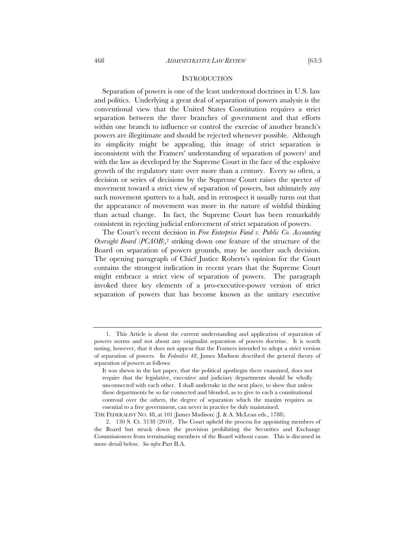#### **INTRODUCTION**

Separation of powers is one of the least understood doctrines in U.S. law and politics. Underlying a great deal of separation of powers analysis is the conventional view that the United States Constitution requires a strict separation between the three branches of government and that efforts within one branch to influence or control the exercise of another branch's powers are illegitimate and should be rejected whenever possible. Although its simplicity might be appealing, this image of strict separation is inconsistent with the Framers' understanding of separation of powers<sup>1</sup> and with the law as developed by the Supreme Court in the face of the explosive growth of the regulatory state over more than a century. Every so often, a decision or series of decisions by the Supreme Court raises the specter of movement toward a strict view of separation of powers, but ultimately any such movement sputters to a halt, and in retrospect it usually turns out that the appearance of movement was more in the nature of wishful thinking than actual change. In fact, the Supreme Court has been remarkably consistent in rejecting judicial enforcement of strict separation of powers.

The Court's recent decision in *Free Enterprise Fund v. Public Co. Accounting Oversight Board (PCAOB)*,<sup>2</sup> striking down one feature of the structure of the Board on separation of powers grounds, may be another such decision. The opening paragraph of Chief Justice Roberts's opinion for the Court contains the strongest indication in recent years that the Supreme Court might embrace a strict view of separation of powers. The paragraph invoked three key elements of a pro-executive-power version of strict separation of powers that has become known as the unitary executive

<sup>1.</sup> This Article is about the current understanding and application of separation of powers norms and not about any originalist separation of powers doctrine. It is worth noting, however, that it does not appear that the Framers intended to adopt a strict version of separation of powers. In *Federalist 48*, James Madison described the general theory of separation of powers as follows:

It was shewn in the last paper, that the political apothegm there examined, does not require that the legislative, executive and judiciary departments should be wholly unconnected with each other. I shall undertake in the next place, to shew that unless these departments be so far connected and blended, as to give to each a constitutional controul over the others, the degree of separation which the maxim requires as essential to a free government, can never in practice be duly maintained.

THE FEDERALIST NO. 48, at 101 (James Madison) (J. & A. McLean eds., 1788).

<sup>2. 130</sup> S. Ct. 3138 (2010). The Court upheld the process for appointing members of the Board but struck down the provision prohibiting the Securities and Exchange Commissioners from terminating members of the Board without cause. This is discussed in more detail below. *See infra* Part II.A.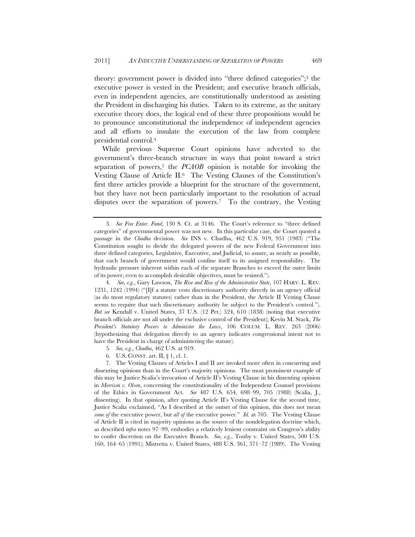theory: government power is divided into "three defined categories";3 the executive power is vested in the President; and executive branch officials, even in independent agencies, are constitutionally understood as assisting the President in discharging his duties. Taken to its extreme, as the unitary executive theory does, the logical end of these three propositions would be to pronounce unconstitutional the independence of independent agencies and all efforts to insulate the execution of the law from complete presidential control.4

While previous Supreme Court opinions have adverted to the government's three-branch structure in ways that point toward a strict separation of powers,<sup>5</sup> the *PCAOB* opinion is notable for invoking the Vesting Clause of Article II.6 The Vesting Clauses of the Constitution's first three articles provide a blueprint for the structure of the government, but they have not been particularly important to the resolution of actual disputes over the separation of powers.7 To the contrary, the Vesting

4. *See, e.g.*, Gary Lawson, *The Rise and Rise of the Administrative State*, 107 HARV. L. REV. 1231, 1242 (1994) ("[I]f a statute vests discretionary authority directly in an agency official (as do most regulatory statutes) rather than in the President, the Article II Vesting Clause seems to require that such discretionary authority be subject to the President's control."). *But see* Kendall v. United States, 37 U.S. (12 Pet.) 524, 610 (1838) (noting that executive branch officials are not all under the exclusive control of the President); Kevin M. Stack, *The President's Statutory Powers to Administer the Laws*, 106 COLUM. L. REV. 263 (2006) (hypothesizing that delegation directly to an agency indicates congressional intent not to have the President in charge of administering the statute).

- 5*. See, e.g.*, *Chadha*, 462 U.S. at 919.
- 6. U.S. CONST. art. II, § 1, cl. 1.

<sup>3</sup>*. See Free Enter. Fund*, 130 S. Ct. at 3146. The Court's reference to "three defined categories" of governmental power was not new. In this particular case, the Court quoted a passage in the *Chadha* decision. *See* INS v. Chadha, 462 U.S. 919, 951 (1983) ("The Constitution sought to divide the delegated powers of the new Federal Government into three defined categories, Legislative, Executive, and Judicial, to assure, as nearly as possible, that each branch of government would confine itself to its assigned responsibility. The hydraulic pressure inherent within each of the separate Branches to exceed the outer limits of its power, even to accomplish desirable objectives, must be resisted.").

<sup>7.</sup> The Vesting Clauses of Articles I and II are invoked more often in concurring and dissenting opinions than in the Court's majority opinions. The most prominent example of this may be Justice Scalia's invocation of Article II's Vesting Clause in his dissenting opinion in *Morrison v. Olson*, concerning the constitutionality of the Independent Counsel provisions of the Ethics in Government Act. *See* 487 U.S. 654, 698–99, 705 (1988) (Scalia, J., dissenting). In that opinion, after quoting Article II's Vesting Clause for the second time, Justice Scalia exclaimed, "As I described at the outset of this opinion, this does not mean *some of* the executive power, but *all of* the executive power." *Id.* at 705. The Vesting Clause of Article II is cited in majority opinions as the source of the nondelegation doctrine which, as described *infra* notes 97–99, embodies a relatively lenient constraint on Congress's ability to confer discretion on the Executive Branch. *See, e.g.*, Touby v. United States, 500 U.S. 160, 164–65 (1991); Mistretta v. United States, 488 U.S. 361, 371–72 (1989). The Vesting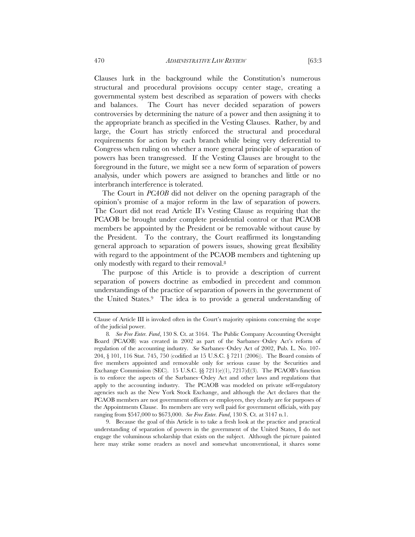Clauses lurk in the background while the Constitution's numerous structural and procedural provisions occupy center stage, creating a governmental system best described as separation of powers with checks and balances. The Court has never decided separation of powers controversies by determining the nature of a power and then assigning it to the appropriate branch as specified in the Vesting Clauses. Rather, by and large, the Court has strictly enforced the structural and procedural requirements for action by each branch while being very deferential to Congress when ruling on whether a more general principle of separation of powers has been transgressed. If the Vesting Clauses are brought to the foreground in the future, we might see a new form of separation of powers analysis, under which powers are assigned to branches and little or no interbranch interference is tolerated.

The Court in *PCAOB* did not deliver on the opening paragraph of the opinion's promise of a major reform in the law of separation of powers. The Court did not read Article II's Vesting Clause as requiring that the PCAOB be brought under complete presidential control or that PCAOB members be appointed by the President or be removable without cause by the President. To the contrary, the Court reaffirmed its longstanding general approach to separation of powers issues, showing great flexibility with regard to the appointment of the PCAOB members and tightening up only modestly with regard to their removal.8

The purpose of this Article is to provide a description of current separation of powers doctrine as embodied in precedent and common understandings of the practice of separation of powers in the government of the United States.9 The idea is to provide a general understanding of

9. Because the goal of this Article is to take a fresh look at the practice and practical understanding of separation of powers in the government of the United States, I do not engage the voluminous scholarship that exists on the subject. Although the picture painted here may strike some readers as novel and somewhat unconventional, it shares some

Clause of Article III is invoked often in the Court's majority opinions concerning the scope of the judicial power.

<sup>8</sup>*. See Free Enter. Fund*, 130 S. Ct. at 3164. The Public Company Accounting Oversight Board (PCAOB) was created in 2002 as part of the Sarbanes–Oxley Act's reform of regulation of the accounting industry. *See* Sarbanes–Oxley Act of 2002, Pub. L. No. 107- 204, § 101, 116 Stat. 745, 750 (codified at 15 U.S.C. § 7211 (2006)). The Board consists of five members appointed and removable only for serious cause by the Securities and Exchange Commission (SEC). 15 U.S.C.  $\&$  7211(e)(1), 7217(d)(3). The PCAOB's function is to enforce the aspects of the Sarbanes–Oxley Act and other laws and regulations that apply to the accounting industry. The PCAOB was modeled on private self-regulatory agencies such as the New York Stock Exchange, and although the Act declares that the PCAOB members are not government officers or employees, they clearly are for purposes of the Appointments Clause. Its members are very well paid for government officials, with pay ranging from \$547,000 to \$673,000. *See Free Enter. Fund*, 130 S. Ct. at 3147 n.1.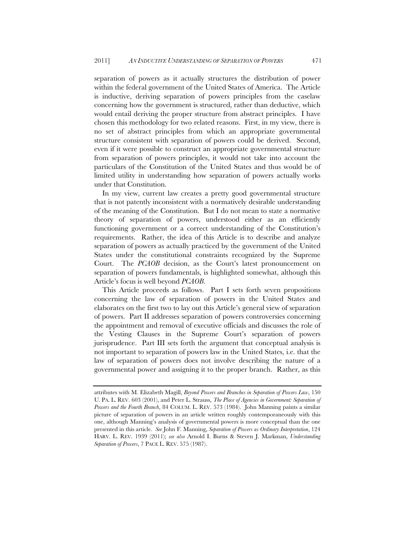separation of powers as it actually structures the distribution of power within the federal government of the United States of America. The Article is inductive, deriving separation of powers principles from the caselaw concerning how the government is structured, rather than deductive, which would entail deriving the proper structure from abstract principles. I have chosen this methodology for two related reasons. First, in my view, there is no set of abstract principles from which an appropriate governmental structure consistent with separation of powers could be derived. Second, even if it were possible to construct an appropriate governmental structure from separation of powers principles, it would not take into account the particulars of the Constitution of the United States and thus would be of limited utility in understanding how separation of powers actually works under that Constitution.

In my view, current law creates a pretty good governmental structure that is not patently inconsistent with a normatively desirable understanding of the meaning of the Constitution. But I do not mean to state a normative theory of separation of powers, understood either as an efficiently functioning government or a correct understanding of the Constitution's requirements. Rather, the idea of this Article is to describe and analyze separation of powers as actually practiced by the government of the United States under the constitutional constraints recognized by the Supreme Court. The *PCAOB* decision, as the Court's latest pronouncement on separation of powers fundamentals, is highlighted somewhat, although this Article's focus is well beyond *PCAOB*.

This Article proceeds as follows. Part I sets forth seven propositions concerning the law of separation of powers in the United States and elaborates on the first two to lay out this Article's general view of separation of powers. Part II addresses separation of powers controversies concerning the appointment and removal of executive officials and discusses the role of the Vesting Clauses in the Supreme Court's separation of powers jurisprudence. Part III sets forth the argument that conceptual analysis is not important to separation of powers law in the United States, i.e. that the law of separation of powers does not involve describing the nature of a governmental power and assigning it to the proper branch. Rather, as this

attributes with M. Elizabeth Magill, *Beyond Powers and Branches in Separation of Powers Law*, 150 U. PA. L. REV. 603 (2001), and Peter L. Strauss, *The Place of Agencies in Government: Separation of Powers and the Fourth Branch*, 84 COLUM. L. REV. 573 (1984). John Manning paints a similar picture of separation of powers in an article written roughly contemporaneously with this one, although Manning's analysis of governmental powers is more conceptual than the one presented in this article. *See* John F. Manning, *Separation of Powers as Ordinary Interpretation*, 124 HARV. L. REV. 1939 (2011); *see also* Arnold I. Burns & Steven J. Markman, *Understanding Separation of Powers*, 7 PACE L. REV. 575 (1987).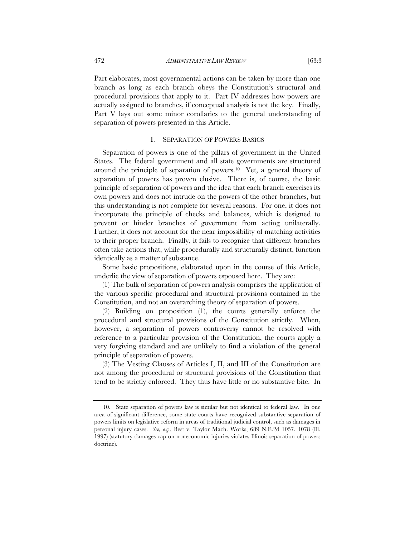Part elaborates, most governmental actions can be taken by more than one branch as long as each branch obeys the Constitution's structural and procedural provisions that apply to it. Part IV addresses how powers are actually assigned to branches, if conceptual analysis is not the key. Finally, Part V lays out some minor corollaries to the general understanding of separation of powers presented in this Article.

#### I. SEPARATION OF POWERS BASICS

Separation of powers is one of the pillars of government in the United States. The federal government and all state governments are structured around the principle of separation of powers.10 Yet, a general theory of separation of powers has proven elusive. There is, of course, the basic principle of separation of powers and the idea that each branch exercises its own powers and does not intrude on the powers of the other branches, but this understanding is not complete for several reasons. For one, it does not incorporate the principle of checks and balances, which is designed to prevent or hinder branches of government from acting unilaterally. Further, it does not account for the near impossibility of matching activities to their proper branch. Finally, it fails to recognize that different branches often take actions that, while procedurally and structurally distinct, function identically as a matter of substance.

Some basic propositions, elaborated upon in the course of this Article, underlie the view of separation of powers espoused here. They are:

(1) The bulk of separation of powers analysis comprises the application of the various specific procedural and structural provisions contained in the Constitution, and not an overarching theory of separation of powers.

(2) Building on proposition (1), the courts generally enforce the procedural and structural provisions of the Constitution strictly. When, however, a separation of powers controversy cannot be resolved with reference to a particular provision of the Constitution, the courts apply a very forgiving standard and are unlikely to find a violation of the general principle of separation of powers.

(3) The Vesting Clauses of Articles I, II, and III of the Constitution are not among the procedural or structural provisions of the Constitution that tend to be strictly enforced. They thus have little or no substantive bite. In

<sup>10.</sup> State separation of powers law is similar but not identical to federal law. In one area of significant difference, some state courts have recognized substantive separation of powers limits on legislative reform in areas of traditional judicial control, such as damages in personal injury cases. *See, e.g.*, Best v. Taylor Mach. Works, 689 N.E.2d 1057, 1078 (Ill. 1997) (statutory damages cap on noneconomic injuries violates Illinois separation of powers doctrine).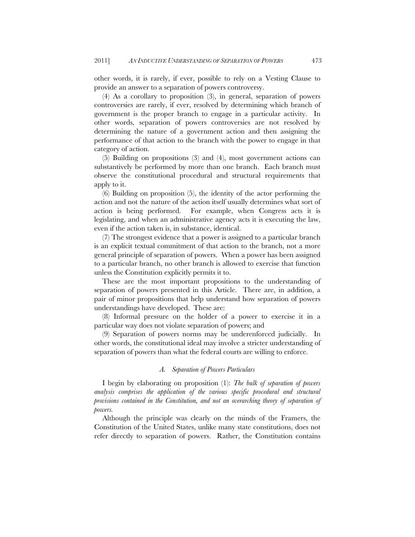other words, it is rarely, if ever, possible to rely on a Vesting Clause to provide an answer to a separation of powers controversy.

(4) As a corollary to proposition (3), in general, separation of powers controversies are rarely, if ever, resolved by determining which branch of government is the proper branch to engage in a particular activity. In other words, separation of powers controversies are not resolved by determining the nature of a government action and then assigning the performance of that action to the branch with the power to engage in that category of action.

(5) Building on propositions (3) and (4), most government actions can substantively be performed by more than one branch. Each branch must observe the constitutional procedural and structural requirements that apply to it.

(6) Building on proposition (5), the identity of the actor performing the action and not the nature of the action itself usually determines what sort of action is being performed. For example, when Congress acts it is legislating, and when an administrative agency acts it is executing the law, even if the action taken is, in substance, identical.

(7) The strongest evidence that a power is assigned to a particular branch is an explicit textual commitment of that action to the branch, not a more general principle of separation of powers. When a power has been assigned to a particular branch, no other branch is allowed to exercise that function unless the Constitution explicitly permits it to.

These are the most important propositions to the understanding of separation of powers presented in this Article. There are, in addition, a pair of minor propositions that help understand how separation of powers understandings have developed. These are:

(8) Informal pressure on the holder of a power to exercise it in a particular way does not violate separation of powers; and

(9) Separation of powers norms may be underenforced judicially. In other words, the constitutional ideal may involve a stricter understanding of separation of powers than what the federal courts are willing to enforce.

#### *A. Separation of Powers Particulars*

I begin by elaborating on proposition (1): *The bulk of separation of powers analysis comprises the application of the various specific procedural and structural provisions contained in the Constitution, and not an overarching theory of separation of powers.*

Although the principle was clearly on the minds of the Framers, the Constitution of the United States, unlike many state constitutions, does not refer directly to separation of powers. Rather, the Constitution contains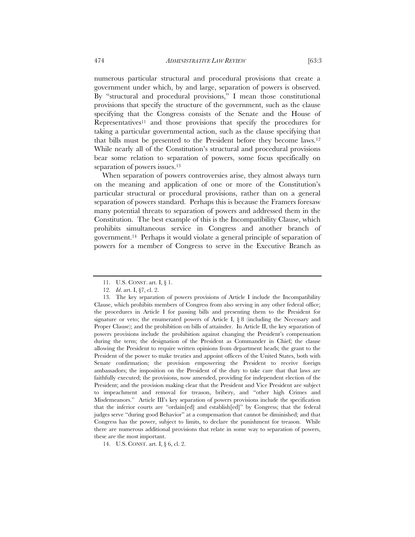numerous particular structural and procedural provisions that create a government under which, by and large, separation of powers is observed. By "structural and procedural provisions," I mean those constitutional provisions that specify the structure of the government, such as the clause specifying that the Congress consists of the Senate and the House of Representatives11 and those provisions that specify the procedures for taking a particular governmental action, such as the clause specifying that that bills must be presented to the President before they become laws.12 While nearly all of the Constitution's structural and procedural provisions

When separation of powers controversies arise, they almost always turn on the meaning and application of one or more of the Constitution's particular structural or procedural provisions, rather than on a general separation of powers standard. Perhaps this is because the Framers foresaw many potential threats to separation of powers and addressed them in the Constitution. The best example of this is the Incompatibility Clause, which prohibits simultaneous service in Congress and another branch of government.14 Perhaps it would violate a general principle of separation of powers for a member of Congress to serve in the Executive Branch as

bear some relation to separation of powers, some focus specifically on

separation of powers issues.<sup>13</sup>

<sup>11.</sup> U.S. CONST. art. I, § 1.

<sup>12.</sup> *Id*. art. I, §7, cl. 2.

<sup>13.</sup> The key separation of powers provisions of Article I include the Incompatibility Clause, which prohibits members of Congress from also serving in any other federal office; the procedures in Article I for passing bills and presenting them to the President for signature or veto; the enumerated powers of Article I,  $\S 8$  (including the Necessary and Proper Clause); and the prohibition on bills of attainder. In Article II, the key separation of powers provisions include the prohibition against changing the President's compensation during the term; the designation of the President as Commander in Chief; the clause allowing the President to require written opinions from department heads; the grant to the President of the power to make treaties and appoint officers of the United States, both with Senate confirmation; the provision empowering the President to receive foreign ambassadors; the imposition on the President of the duty to take care that that laws are faithfully executed; the provisions, now amended, providing for independent election of the President; and the provision making clear that the President and Vice President are subject to impeachment and removal for treason, bribery, and "other high Crimes and Misdemeanors." Article III's key separation of powers provisions include the specification that the inferior courts are "ordain[ed] and establish[ed]" by Congress; that the federal judges serve "during good Behavior" at a compensation that cannot be diminished; and that Congress has the power, subject to limits, to declare the punishment for treason. While there are numerous additional provisions that relate in some way to separation of powers, these are the most important.

<sup>14.</sup> U.S. CONST. art. I, § 6, cl. 2.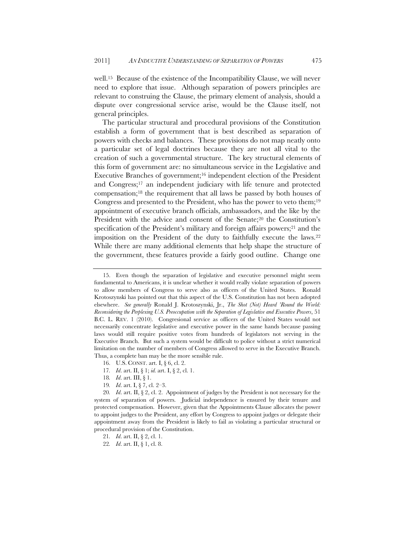well.15 Because of the existence of the Incompatibility Clause, we will never need to explore that issue. Although separation of powers principles are relevant to construing the Clause, the primary element of analysis, should a dispute over congressional service arise, would be the Clause itself, not general principles.

The particular structural and procedural provisions of the Constitution establish a form of government that is best described as separation of powers with checks and balances. These provisions do not map neatly onto a particular set of legal doctrines because they are not all vital to the creation of such a governmental structure. The key structural elements of this form of government are: no simultaneous service in the Legislative and Executive Branches of government;16 independent election of the President and Congress;17 an independent judiciary with life tenure and protected compensation;18 the requirement that all laws be passed by both houses of Congress and presented to the President, who has the power to veto them;19 appointment of executive branch officials, ambassadors, and the like by the President with the advice and consent of the Senate;<sup>20</sup> the Constitution's specification of the President's military and foreign affairs powers;<sup>21</sup> and the imposition on the President of the duty to faithfully execute the laws.22 While there are many additional elements that help shape the structure of the government, these features provide a fairly good outline. Change one

17*. Id*. art. II, § 1; *id.* art. I, § 2, cl. 1.

19*. Id*. art. I, § 7, cl. 2–3.

<sup>15.</sup> Even though the separation of legislative and executive personnel might seem fundamental to Americans, it is unclear whether it would really violate separation of powers to allow members of Congress to serve also as officers of the United States. Ronald Krotoszynski has pointed out that this aspect of the U.S. Constitution has not been adopted elsewhere. *See generally* Ronald J. Krotoszynski, Jr., *The Shot (Not) Heard 'Round the World: Reconsidering the Perplexing U.S. Preoccupation with the Separation of Legislative and Executive Powers*, 51 B.C. L. REV. 1 (2010). Congresional service as officers of the United States would not necessarily concentrate legislative and executive power in the same hands because passing laws would still require positive votes from hundreds of legislators not serving in the Executive Branch. But such a system would be difficult to police without a strict numerical limitation on the number of members of Congress allowed to serve in the Executive Branch. Thus, a complete ban may be the more sensible rule.

<sup>16.</sup> U.S. CONST. art. I, § 6, cl. 2.

<sup>18</sup>*. Id*. art. III, § 1.

<sup>20</sup>*. Id*. art. II, § 2, cl. 2. Appointment of judges by the President is not necessary for the system of separation of powers. Judicial independence is ensured by their tenure and protected compensation. However, given that the Appointments Clause allocates the power to appoint judges to the President, any effort by Congress to appoint judges or delegate their appointment away from the President is likely to fail as violating a particular structural or procedural provision of the Constitution.

<sup>21</sup>*. Id*. art. II, § 2, cl. 1.

<sup>22</sup>*. Id*. art. II, § 1, cl. 8.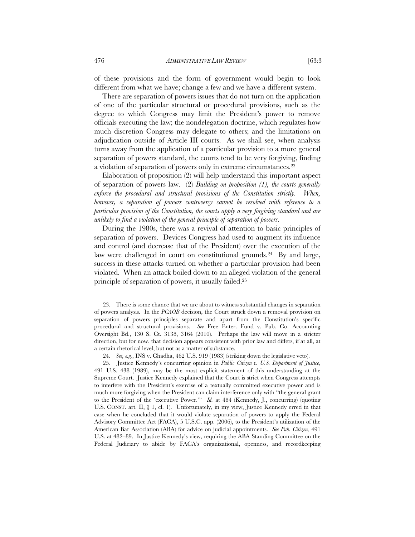of these provisions and the form of government would begin to look different from what we have; change a few and we have a different system.

There are separation of powers issues that do not turn on the application of one of the particular structural or procedural provisions, such as the degree to which Congress may limit the President's power to remove officials executing the law; the nondelegation doctrine, which regulates how much discretion Congress may delegate to others; and the limitations on adjudication outside of Article III courts. As we shall see, when analysis turns away from the application of a particular provision to a more general separation of powers standard, the courts tend to be very forgiving, finding a violation of separation of powers only in extreme circumstances.23

Elaboration of proposition (2) will help understand this important aspect of separation of powers law. (2) *Building on proposition (1), the courts generally enforce the procedural and structural provisions of the Constitution strictly. When, however, a separation of powers controversy cannot be resolved with reference to a particular provision of the Constitution, the courts apply a very forgiving standard and are unlikely to find a violation of the general principle of separation of powers.*

During the 1980s, there was a revival of attention to basic principles of separation of powers. Devices Congress had used to augment its influence and control (and decrease that of the President) over the execution of the law were challenged in court on constitutional grounds.<sup>24</sup> By and large, success in these attacks turned on whether a particular provision had been violated. When an attack boiled down to an alleged violation of the general principle of separation of powers, it usually failed.25

<sup>23.</sup> There is some chance that we are about to witness substantial changes in separation of powers analysis. In the *PCAOB* decision, the Court struck down a removal provision on separation of powers principles separate and apart from the Constitution's specific procedural and structural provisions. *See* Free Enter. Fund v. Pub. Co. Accounting Oversight Bd., 130 S. Ct. 3138, 3164 (2010). Perhaps the law will move in a stricter direction, but for now, that decision appears consistent with prior law and differs, if at all, at a certain rhetorical level, but not as a matter of substance.

<sup>24</sup>*. See, e.g.*, INS v. Chadha, 462 U.S. 919 (1983) (striking down the legislative veto).

<sup>25.</sup> Justice Kennedy's concurring opinion in *Public Citizen v. U.S. Department of Justice*, 491 U.S. 438 (1989), may be the most explicit statement of this understanding at the Supreme Court. Justice Kennedy explained that the Court is strict when Congress attempts to interfere with the President's exercise of a textually committed executive power and is much more forgiving when the President can claim interference only with "the general grant to the President of the 'executive Power.'" *Id.* at 484 (Kennedy, J., concurring) (quoting U.S. CONST. art. II, § 1, cl. 1). Unfortunately, in my view, Justice Kennedy erred in that case when he concluded that it would violate separation of powers to apply the Federal Advisory Committee Act (FACA), 5 U.S.C. app. (2006), to the President's utilization of the American Bar Association (ABA) for advice on judicial appointments. *See Pub. Citizen,* 491 U.S. at 482–89. In Justice Kennedy's view, requiring the ABA Standing Committee on the Federal Judiciary to abide by FACA's organizational, openness, and recordkeeping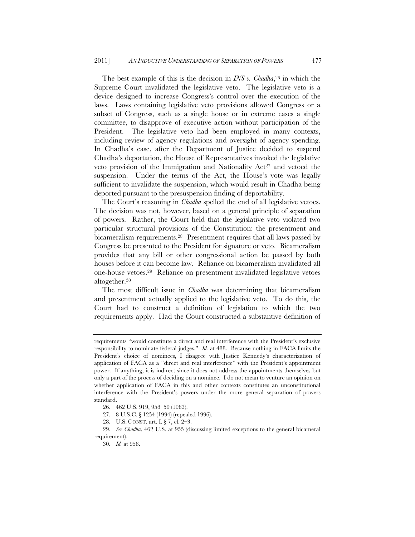The best example of this is the decision in *INS v. Chadha*,<sup>26</sup> in which the Supreme Court invalidated the legislative veto. The legislative veto is a device designed to increase Congress's control over the execution of the laws. Laws containing legislative veto provisions allowed Congress or a subset of Congress, such as a single house or in extreme cases a single committee, to disapprove of executive action without participation of the President. The legislative veto had been employed in many contexts, including review of agency regulations and oversight of agency spending. In Chadha's case, after the Department of Justice decided to suspend Chadha's deportation, the House of Representatives invoked the legislative veto provision of the Immigration and Nationality  $Act^{27}$  and vetoed the suspension. Under the terms of the Act, the House's vote was legally sufficient to invalidate the suspension, which would result in Chadha being deported pursuant to the presuspension finding of deportability.

The Court's reasoning in *Chadha* spelled the end of all legislative vetoes. The decision was not, however, based on a general principle of separation of powers. Rather, the Court held that the legislative veto violated two particular structural provisions of the Constitution: the presentment and bicameralism requirements.28 Presentment requires that all laws passed by Congress be presented to the President for signature or veto. Bicameralism provides that any bill or other congressional action be passed by both houses before it can become law. Reliance on bicameralism invalidated all one-house vetoes.29 Reliance on presentment invalidated legislative vetoes altogether.30

The most difficult issue in *Chadha* was determining that bicameralism and presentment actually applied to the legislative veto. To do this, the Court had to construct a definition of legislation to which the two requirements apply. Had the Court constructed a substantive definition of

requirements "would constitute a direct and real interference with the President's exclusive responsibility to nominate federal judges." *Id.* at 488. Because nothing in FACA limits the President's choice of nominees, I disagree with Justice Kennedy's characterization of application of FACA as a "direct and real interference" with the President's appointment power. If anything, it is indirect since it does not address the appointments themselves but only a part of the process of deciding on a nominee. I do not mean to venture an opinion on whether application of FACA in this and other contexts constitutes an unconstitutional interference with the President's powers under the more general separation of powers standard.

<sup>26. 462</sup> U.S. 919, 958–59 (1983).

<sup>27. 8</sup> U.S.C. § 1254 (1994) (repealed 1996).

<sup>28.</sup> U.S. CONST. art. I. § 7, cl. 2–3.

<sup>29</sup>*. See Chadha*, 462 U.S. at 955 (discussing limited exceptions to the general bicameral requirement).

<sup>30</sup>*. Id.* at 958.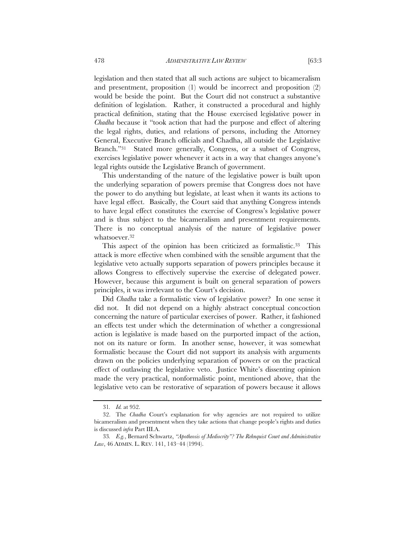legislation and then stated that all such actions are subject to bicameralism and presentment, proposition (1) would be incorrect and proposition (2) would be beside the point. But the Court did not construct a substantive definition of legislation. Rather, it constructed a procedural and highly practical definition, stating that the House exercised legislative power in *Chadha* because it "took action that had the purpose and effect of altering the legal rights, duties, and relations of persons, including the Attorney General, Executive Branch officials and Chadha, all outside the Legislative Branch."31 Stated more generally, Congress, or a subset of Congress, exercises legislative power whenever it acts in a way that changes anyone's legal rights outside the Legislative Branch of government.

This understanding of the nature of the legislative power is built upon the underlying separation of powers premise that Congress does not have the power to do anything but legislate, at least when it wants its actions to have legal effect. Basically, the Court said that anything Congress intends to have legal effect constitutes the exercise of Congress's legislative power and is thus subject to the bicameralism and presentment requirements. There is no conceptual analysis of the nature of legislative power whatsoever.32

This aspect of the opinion has been criticized as formalistic.<sup>33</sup> This attack is more effective when combined with the sensible argument that the legislative veto actually supports separation of powers principles because it allows Congress to effectively supervise the exercise of delegated power. However, because this argument is built on general separation of powers principles, it was irrelevant to the Court's decision.

Did *Chadha* take a formalistic view of legislative power? In one sense it did not. It did not depend on a highly abstract conceptual concoction concerning the nature of particular exercises of power. Rather, it fashioned an effects test under which the determination of whether a congressional action is legislative is made based on the purported impact of the action, not on its nature or form. In another sense, however, it was somewhat formalistic because the Court did not support its analysis with arguments drawn on the policies underlying separation of powers or on the practical effect of outlawing the legislative veto. Justice White's dissenting opinion made the very practical, nonformalistic point, mentioned above, that the legislative veto can be restorative of separation of powers because it allows

<sup>31</sup>*. Id.* at 952.

<sup>32.</sup> The *Chadha* Court's explanation for why agencies are not required to utilize bicameralism and presentment when they take actions that change people's rights and duties is discussed *infra* Part III.A.

<sup>33</sup>*. E.g.*, Bernard Schwartz, *"Apotheosis of Mediocrity"? The Rehnquist Court and Administrative Law*, 46 ADMIN. L. REV. 141, 143–44 (1994).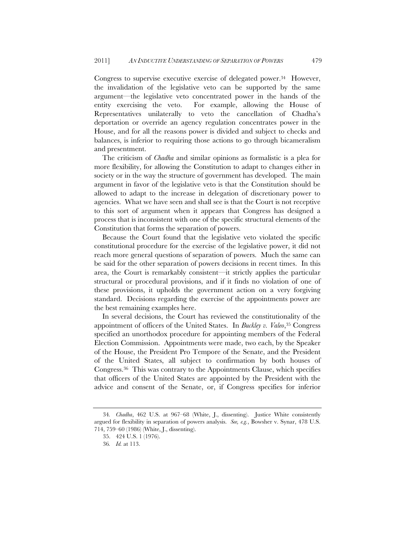Congress to supervise executive exercise of delegated power.<sup>34</sup> However, the invalidation of the legislative veto can be supported by the same argument—the legislative veto concentrated power in the hands of the entity exercising the veto. For example, allowing the House of Representatives unilaterally to veto the cancellation of Chadha's deportation or override an agency regulation concentrates power in the House, and for all the reasons power is divided and subject to checks and balances, is inferior to requiring those actions to go through bicameralism and presentment.

The criticism of *Chadha* and similar opinions as formalistic is a plea for more flexibility, for allowing the Constitution to adapt to changes either in society or in the way the structure of government has developed. The main argument in favor of the legislative veto is that the Constitution should be allowed to adapt to the increase in delegation of discretionary power to agencies. What we have seen and shall see is that the Court is not receptive to this sort of argument when it appears that Congress has designed a process that is inconsistent with one of the specific structural elements of the Constitution that forms the separation of powers.

Because the Court found that the legislative veto violated the specific constitutional procedure for the exercise of the legislative power, it did not reach more general questions of separation of powers. Much the same can be said for the other separation of powers decisions in recent times. In this area, the Court is remarkably consistent—it strictly applies the particular structural or procedural provisions, and if it finds no violation of one of these provisions, it upholds the government action on a very forgiving standard. Decisions regarding the exercise of the appointments power are the best remaining examples here.

In several decisions, the Court has reviewed the constitutionality of the appointment of officers of the United States. In *Buckley v. Valeo*,35 Congress specified an unorthodox procedure for appointing members of the Federal Election Commission. Appointments were made, two each, by the Speaker of the House, the President Pro Tempore of the Senate, and the President of the United States, all subject to confirmation by both houses of Congress.36 This was contrary to the Appointments Clause, which specifies that officers of the United States are appointed by the President with the advice and consent of the Senate, or, if Congress specifies for inferior

<sup>34</sup>*. Chadha*, 462 U.S. at 967–68 (White, J., dissenting). Justice White consistently argued for flexibility in separation of powers analysis. *See, e.g.*, Bowsher v. Synar, 478 U.S. 714, 759–60 (1986) (White, J., dissenting).

<sup>35. 424</sup> U.S. 1 (1976).

<sup>36</sup>*. Id.* at 113.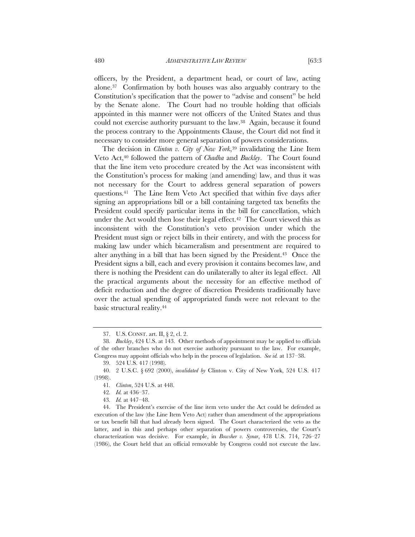officers, by the President, a department head, or court of law, acting alone.37 Confirmation by both houses was also arguably contrary to the Constitution's specification that the power to "advise and consent" be held by the Senate alone. The Court had no trouble holding that officials appointed in this manner were not officers of the United States and thus could not exercise authority pursuant to the law.38 Again, because it found the process contrary to the Appointments Clause, the Court did not find it necessary to consider more general separation of powers considerations.

The decision in *Clinton v. City of New York*,39 invalidating the Line Item Veto Act,40 followed the pattern of *Chadha* and *Buckley*. The Court found that the line item veto procedure created by the Act was inconsistent with the Constitution's process for making (and amending) law, and thus it was not necessary for the Court to address general separation of powers questions.41 The Line Item Veto Act specified that within five days after signing an appropriations bill or a bill containing targeted tax benefits the President could specify particular items in the bill for cancellation, which under the Act would then lose their legal effect.<sup>42</sup> The Court viewed this as inconsistent with the Constitution's veto provision under which the President must sign or reject bills in their entirety, and with the process for making law under which bicameralism and presentment are required to alter anything in a bill that has been signed by the President.43 Once the President signs a bill, each and every provision it contains becomes law, and there is nothing the President can do unilaterally to alter its legal effect. All the practical arguments about the necessity for an effective method of deficit reduction and the degree of discretion Presidents traditionally have over the actual spending of appropriated funds were not relevant to the basic structural reality.44

<sup>37.</sup> U.S. CONST. art. II, § 2, cl. 2.

<sup>38</sup>*. Buckley*, 424 U.S. at 143. Other methods of appointment may be applied to officials of the other branches who do not exercise authority pursuant to the law. For example, Congress may appoint officials who help in the process of legislation. *See id.* at 137–38.

<sup>39. 524</sup> U.S. 417 (1998).

<sup>40. 2</sup> U.S.C. § 692 (2000), *invalidated by* Clinton v. City of New York, 524 U.S. 417 (1998).

<sup>41</sup>*. Clinton*, 524 U.S. at 448.

<sup>42</sup>*. Id.* at 436–37.

<sup>43</sup>*. Id.* at 447–48.

<sup>44.</sup> The President's exercise of the line item veto under the Act could be defended as execution of the law (the Line Item Veto Act) rather than amendment of the appropriations or tax benefit bill that had already been signed. The Court characterized the veto as the latter, and in this and perhaps other separation of powers controversies, the Court's characterization was decisive. For example, in *Bowsher v. Synar*, 478 U.S. 714, 726–27 (1986), the Court held that an official removable by Congress could not execute the law.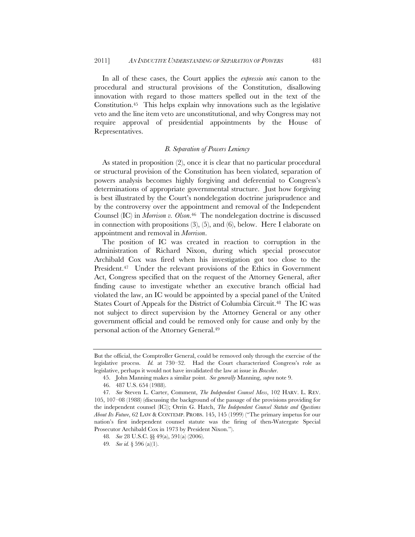In all of these cases, the Court applies the *expressio unis* canon to the procedural and structural provisions of the Constitution, disallowing innovation with regard to those matters spelled out in the text of the Constitution.45 This helps explain why innovations such as the legislative veto and the line item veto are unconstitutional, and why Congress may not require approval of presidential appointments by the House of Representatives.

# *B. Separation of Powers Leniency*

As stated in proposition (2), once it is clear that no particular procedural or structural provision of the Constitution has been violated, separation of powers analysis becomes highly forgiving and deferential to Congress's determinations of appropriate governmental structure. Just how forgiving is best illustrated by the Court's nondelegation doctrine jurisprudence and by the controversy over the appointment and removal of the Independent Counsel (IC) in *Morrison v. Olson*.46 The nondelegation doctrine is discussed in connection with propositions (3), (5), and (6), below. Here I elaborate on appointment and removal in *Morrison*.

The position of IC was created in reaction to corruption in the administration of Richard Nixon, during which special prosecutor Archibald Cox was fired when his investigation got too close to the President.<sup>47</sup> Under the relevant provisions of the Ethics in Government Act, Congress specified that on the request of the Attorney General, after finding cause to investigate whether an executive branch official had violated the law, an IC would be appointed by a special panel of the United States Court of Appeals for the District of Columbia Circuit.48 The IC was not subject to direct supervision by the Attorney General or any other government official and could be removed only for cause and only by the personal action of the Attorney General.49

But the official, the Comptroller General, could be removed only through the exercise of the legislative process. *Id.* at 730–32. Had the Court characterized Congress's role as legislative, perhaps it would not have invalidated the law at issue in *Bowsher*.

<sup>45.</sup> John Manning makes a similar point. *See generally* Manning, *supra* note 9.

<sup>46. 487</sup> U.S. 654 (1988).

<sup>47</sup>*. See* Steven L. Carter, Comment, *The Independent Counsel Mess*, 102 HARV. L. REV. 105, 107–08 (1988) (discussing the background of the passage of the provisions providing for the independent counsel (IC)); Orrin G. Hatch, *The Independent Counsel Statute and Questions About Its Future*, 62 LAW & CONTEMP. PROBS. 145, 145 (1999) ("The primary impetus for our nation's first independent counsel statute was the firing of then-Watergate Special Prosecutor Archibald Cox in 1973 by President Nixon.").

<sup>48</sup>*. See* 28 U.S.C. §§ 49(a), 591(a) (2006).

<sup>49</sup>*. See id.* § 596 (a)(1).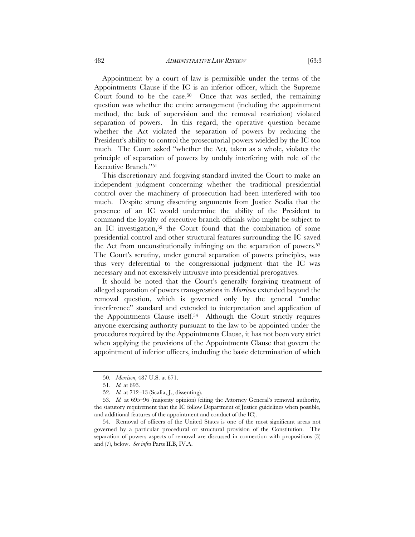Appointment by a court of law is permissible under the terms of the Appointments Clause if the IC is an inferior officer, which the Supreme Court found to be the case.50 Once that was settled, the remaining question was whether the entire arrangement (including the appointment method, the lack of supervision and the removal restriction) violated separation of powers. In this regard, the operative question became whether the Act violated the separation of powers by reducing the President's ability to control the prosecutorial powers wielded by the IC too much. The Court asked "whether the Act, taken as a whole, violates the principle of separation of powers by unduly interfering with role of the Executive Branch."51

This discretionary and forgiving standard invited the Court to make an independent judgment concerning whether the traditional presidential control over the machinery of prosecution had been interfered with too much. Despite strong dissenting arguments from Justice Scalia that the presence of an IC would undermine the ability of the President to command the loyalty of executive branch officials who might be subject to an IC investigation,<sup>52</sup> the Court found that the combination of some presidential control and other structural features surrounding the IC saved the Act from unconstitutionally infringing on the separation of powers.<sup>53</sup> The Court's scrutiny, under general separation of powers principles, was thus very deferential to the congressional judgment that the IC was necessary and not excessively intrusive into presidential prerogatives.

It should be noted that the Court's generally forgiving treatment of alleged separation of powers transgressions in *Morrison* extended beyond the removal question, which is governed only by the general "undue interference" standard and extended to interpretation and application of the Appointments Clause itself.54 Although the Court strictly requires anyone exercising authority pursuant to the law to be appointed under the procedures required by the Appointments Clause, it has not been very strict when applying the provisions of the Appointments Clause that govern the appointment of inferior officers, including the basic determination of which

<sup>50</sup>*. Morrison*, 487 U.S. at 671.

<sup>51</sup>*. Id.* at 693.

<sup>52</sup>*. Id.* at 712–13 (Scalia, J., dissenting).

<sup>53</sup>*. Id.* at 695–96 (majority opinion) (citing the Attorney General's removal authority, the statutory requirement that the IC follow Department of Justice guidelines when possible, and additional features of the appointment and conduct of the IC).

<sup>54.</sup> Removal of officers of the United States is one of the most significant areas not governed by a particular procedural or structural provision of the Constitution. The separation of powers aspects of removal are discussed in connection with propositions (3) and (7), below. *See infra* Parts II.B, IV.A.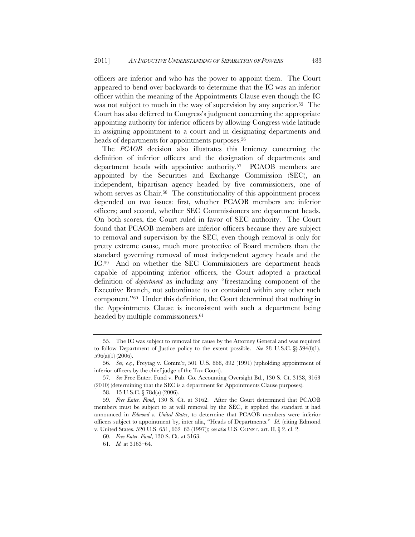officers are inferior and who has the power to appoint them. The Court appeared to bend over backwards to determine that the IC was an inferior officer within the meaning of the Appointments Clause even though the IC was not subject to much in the way of supervision by any superior.<sup>55</sup> The Court has also deferred to Congress's judgment concerning the appropriate appointing authority for inferior officers by allowing Congress wide latitude in assigning appointment to a court and in designating departments and heads of departments for appointments purposes.<sup>56</sup>

The *PCAOB* decision also illustrates this leniency concerning the definition of inferior officers and the designation of departments and department heads with appointive authority.57 PCAOB members are appointed by the Securities and Exchange Commission (SEC), an independent, bipartisan agency headed by five commissioners, one of whom serves as Chair.<sup>58</sup> The constitutionality of this appointment process depended on two issues: first, whether PCAOB members are inferior officers; and second, whether SEC Commissioners are department heads. On both scores, the Court ruled in favor of SEC authority. The Court found that PCAOB members are inferior officers because they are subject to removal and supervision by the SEC, even though removal is only for pretty extreme cause, much more protective of Board members than the standard governing removal of most independent agency heads and the IC.59 And on whether the SEC Commissioners are department heads capable of appointing inferior officers, the Court adopted a practical definition of *department* as including any "freestanding component of the Executive Branch, not subordinate to or contained within any other such component."60 Under this definition, the Court determined that nothing in the Appointments Clause is inconsistent with such a department being headed by multiple commissioners.<sup>61</sup>

<sup>55.</sup> The IC was subject to removal for cause by the Attorney General and was required to follow Department of Justice policy to the extent possible. *See* 28 U.S.C. §§ 594(f)(1), 596(a)(1) (2006).

<sup>56</sup>*. See, e.g.*, Freytag v. Comm'r, 501 U.S. 868, 892 (1991) (upholding appointment of inferior officers by the chief judge of the Tax Court).

<sup>57</sup>*. See* Free Enter. Fund v. Pub. Co. Accounting Oversight Bd., 130 S. Ct. 3138, 3163 (2010) (determining that the SEC is a department for Appointments Clause purposes).

<sup>58. 15</sup> U.S.C. § 78d(a) (2006).

<sup>59</sup>*. Free Enter. Fund*, 130 S. Ct. at 3162. After the Court determined that PCAOB members must be subject to at will removal by the SEC, it applied the standard it had announced in *Edmond v. United States*, to determine that PCAOB members were inferior officers subject to appointment by, inter alia, "Heads of Departments." *Id.* (citing Edmond v. United States, 520 U.S. 651, 662–63 (1997)); *see also* U.S. CONST. art. II, § 2, cl. 2.

<sup>60</sup>*. Free Enter. Fund*, 130 S. Ct. at 3163.

<sup>61</sup>*. Id.* at 3163–64.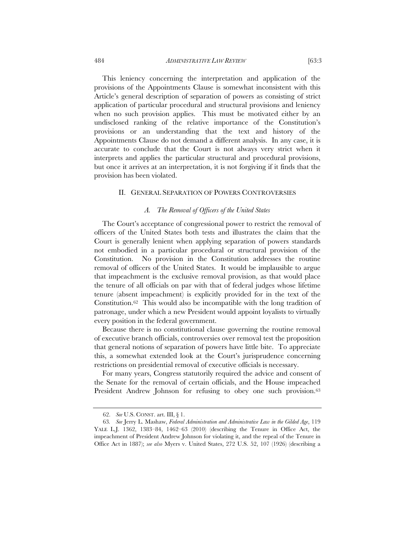This leniency concerning the interpretation and application of the provisions of the Appointments Clause is somewhat inconsistent with this Article's general description of separation of powers as consisting of strict application of particular procedural and structural provisions and leniency when no such provision applies. This must be motivated either by an undisclosed ranking of the relative importance of the Constitution's provisions or an understanding that the text and history of the Appointments Clause do not demand a different analysis. In any case, it is accurate to conclude that the Court is not always very strict when it interprets and applies the particular structural and procedural provisions, but once it arrives at an interpretation, it is not forgiving if it finds that the provision has been violated.

#### II. GENERAL SEPARATION OF POWERS CONTROVERSIES

#### *A. The Removal of Officers of the United States*

The Court's acceptance of congressional power to restrict the removal of officers of the United States both tests and illustrates the claim that the Court is generally lenient when applying separation of powers standards not embodied in a particular procedural or structural provision of the Constitution. No provision in the Constitution addresses the routine removal of officers of the United States. It would be implausible to argue that impeachment is the exclusive removal provision, as that would place the tenure of all officials on par with that of federal judges whose lifetime tenure (absent impeachment) is explicitly provided for in the text of the Constitution.62 This would also be incompatible with the long tradition of patronage, under which a new President would appoint loyalists to virtually every position in the federal government.

Because there is no constitutional clause governing the routine removal of executive branch officials, controversies over removal test the proposition that general notions of separation of powers have little bite. To appreciate this, a somewhat extended look at the Court's jurisprudence concerning restrictions on presidential removal of executive officials is necessary.

For many years, Congress statutorily required the advice and consent of the Senate for the removal of certain officials, and the House impeached President Andrew Johnson for refusing to obey one such provision.<sup>63</sup>

<sup>62.</sup> *See* U.S. CONST. art. III, § 1.

<sup>63</sup>*. See* Jerry L. Mashaw, *Federal Administration and Administrative Law in the Gilded Age*, 119 YALE L.J. 1362, 1383–84, 1462–63 (2010) (describing the Tenure in Office Act, the impeachment of President Andrew Johnson for violating it, and the repeal of the Tenure in Office Act in 1887); *see also* Myers v. United States, 272 U.S. 52, 107 (1926) (describing a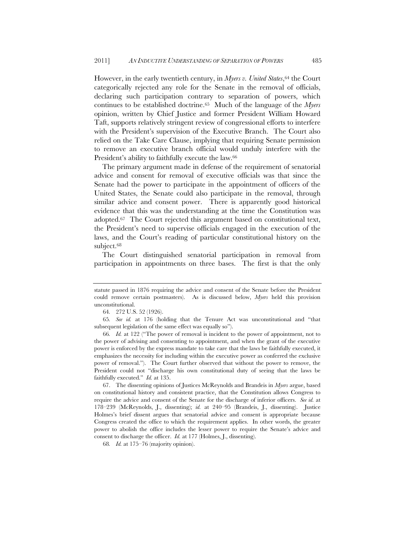However, in the early twentieth century, in *Myers v. United States*, <sup>64</sup> the Court categorically rejected any role for the Senate in the removal of officials, declaring such participation contrary to separation of powers, which continues to be established doctrine.65 Much of the language of the *Myers* opinion, written by Chief Justice and former President William Howard Taft, supports relatively stringent review of congressional efforts to interfere with the President's supervision of the Executive Branch. The Court also relied on the Take Care Clause, implying that requiring Senate permission to remove an executive branch official would unduly interfere with the President's ability to faithfully execute the law.<sup>66</sup>

The primary argument made in defense of the requirement of senatorial advice and consent for removal of executive officials was that since the Senate had the power to participate in the appointment of officers of the United States, the Senate could also participate in the removal, through similar advice and consent power. There is apparently good historical evidence that this was the understanding at the time the Constitution was adopted.67 The Court rejected this argument based on constitutional text, the President's need to supervise officials engaged in the execution of the laws, and the Court's reading of particular constitutional history on the subject.<sup>68</sup>

The Court distinguished senatorial participation in removal from participation in appointments on three bases. The first is that the only

statute passed in 1876 requiring the advice and consent of the Senate before the President could remove certain postmasters). As is discussed below, *Myers* held this provision unconstitutional.

<sup>64</sup>*.* 272 U.S. 52 (1926).

<sup>65</sup>*. See id.* at 176 (holding that the Tenure Act was unconstitutional and "that subsequent legislation of the same effect was equally so").

<sup>66</sup>*. Id.* at 122 ("The power of removal is incident to the power of appointment, not to the power of advising and consenting to appointment, and when the grant of the executive power is enforced by the express mandate to take care that the laws be faithfully executed, it emphasizes the necessity for including within the executive power as conferred the exclusive power of removal."). The Court further observed that without the power to remove, the President could not "discharge his own constitutional duty of seeing that the laws be faithfully executed." *Id.* at 135.

<sup>67.</sup> The dissenting opinions of Justices McReynolds and Brandeis in *Myers* argue, based on constitutional history and consistent practice, that the Constitution allows Congress to require the advice and consent of the Senate for the discharge of inferior officers. *See id.* at 178–239 (McReynolds, J., dissenting); *id.* at 240–95 (Brandeis, J., dissenting). Justice Holmes's brief dissent argues that senatorial advice and consent is appropriate because Congress created the office to which the requirement applies. In other words, the greater power to abolish the office includes the lesser power to require the Senate's advice and consent to discharge the officer. *Id.* at 177 (Holmes, J., dissenting).

<sup>68</sup>*. Id.* at 175–76 (majority opinion).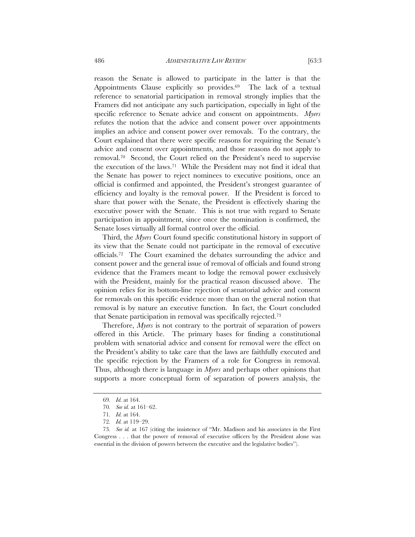reason the Senate is allowed to participate in the latter is that the Appointments Clause explicitly so provides.<sup>69</sup> The lack of a textual reference to senatorial participation in removal strongly implies that the Framers did not anticipate any such participation, especially in light of the specific reference to Senate advice and consent on appointments. *Myers* refutes the notion that the advice and consent power over appointments implies an advice and consent power over removals. To the contrary, the Court explained that there were specific reasons for requiring the Senate's advice and consent over appointments, and those reasons do not apply to removal.70 Second, the Court relied on the President's need to supervise the execution of the laws.71 While the President may not find it ideal that the Senate has power to reject nominees to executive positions, once an official is confirmed and appointed, the President's strongest guarantee of efficiency and loyalty is the removal power. If the President is forced to share that power with the Senate, the President is effectively sharing the executive power with the Senate. This is not true with regard to Senate participation in appointment, since once the nomination is confirmed, the Senate loses virtually all formal control over the official.

Third, the *Myers* Court found specific constitutional history in support of its view that the Senate could not participate in the removal of executive officials.72 The Court examined the debates surrounding the advice and consent power and the general issue of removal of officials and found strong evidence that the Framers meant to lodge the removal power exclusively with the President, mainly for the practical reason discussed above. The opinion relies for its bottom-line rejection of senatorial advice and consent for removals on this specific evidence more than on the general notion that removal is by nature an executive function. In fact, the Court concluded that Senate participation in removal was specifically rejected.73

Therefore, *Myers* is not contrary to the portrait of separation of powers offered in this Article. The primary bases for finding a constitutional problem with senatorial advice and consent for removal were the effect on the President's ability to take care that the laws are faithfully executed and the specific rejection by the Framers of a role for Congress in removal. Thus, although there is language in *Myers* and perhaps other opinions that supports a more conceptual form of separation of powers analysis, the

<sup>69</sup>*. Id.* at 164.

<sup>70</sup>*. See id.* at 161–62.

<sup>71</sup>*. Id.* at 164.

<sup>72</sup>*. Id.* at 119–29.

<sup>73</sup>*. See id.* at 167 (citing the insistence of "Mr. Madison and his associates in the First Congress . . . that the power of removal of executive officers by the President alone was essential in the division of powers between the executive and the legislative bodies").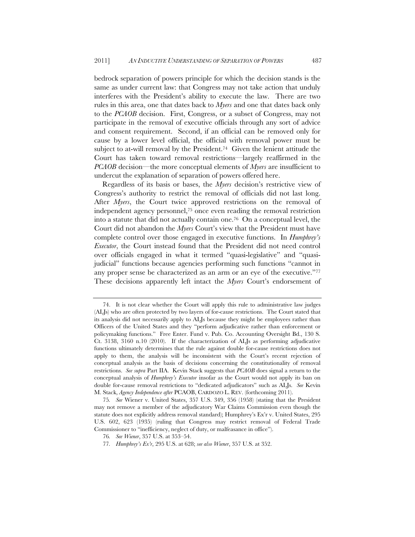bedrock separation of powers principle for which the decision stands is the same as under current law: that Congress may not take action that unduly interferes with the President's ability to execute the law. There are two rules in this area, one that dates back to *Myers* and one that dates back only to the *PCAOB* decision. First, Congress, or a subset of Congress, may not participate in the removal of executive officials through any sort of advice and consent requirement. Second, if an official can be removed only for cause by a lower level official, the official with removal power must be subject to at-will removal by the President.<sup>74</sup> Given the lenient attitude the Court has taken toward removal restrictions—largely reaffirmed in the *PCAOB* decision—the more conceptual elements of *Myers* are insufficient to undercut the explanation of separation of powers offered here.

Regardless of its basis or bases, the *Myers* decision's restrictive view of Congress's authority to restrict the removal of officials did not last long. After *Myers*, the Court twice approved restrictions on the removal of independent agency personnel,75 once even reading the removal restriction into a statute that did not actually contain one.76 On a conceptual level, the Court did not abandon the *Myers* Court's view that the President must have complete control over those engaged in executive functions. In *Humphrey's Executor*, the Court instead found that the President did not need control over officials engaged in what it termed "quasi-legislative" and "quasijudicial" functions because agencies performing such functions "cannot in any proper sense be characterized as an arm or an eye of the executive."77 These decisions apparently left intact the *Myers* Court's endorsement of

<sup>74.</sup> It is not clear whether the Court will apply this rule to administrative law judges (ALJs) who are often protected by two layers of for-cause restrictions. The Court stated that its analysis did not necessarily apply to ALJs because they might be employees rather than Officers of the United States and they "perform adjudicative rather than enforcement or policymaking functions." Free Enter. Fund v. Pub. Co. Accounting Oversight Bd., 130 S. Ct. 3138, 3160 n.10 (2010). If the characterization of ALJs as performing adjudicative functions ultimately determines that the rule against double for-cause restrictions does not apply to them, the analysis will be inconsistent with the Court's recent rejection of conceptual analysis as the basis of decisions concerning the constitutionality of removal restrictions. *See supra* Part IIA. Kevin Stack suggests that *PCAOB* does signal a return to the conceptual analysis of *Humphrey's Executor* insofar as the Court would not apply its ban on double for-cause removal restrictions to "dedicated adjudicators" such as ALJs. *See* Kevin M. Stack, *Agency Independence after* PCAOB, CARDOZO L. REV. (forthcoming 2011).

<sup>75</sup>*. See* Wiener v. United States, 357 U.S. 349, 356 (1958) (stating that the President may not remove a member of the adjudicatory War Claims Commission even though the statute does not explicitly address removal standard); Humphrey's Ex'r v. United States, 295 U.S. 602, 623 (1935) (ruling that Congress may restrict removal of Federal Trade Commissioner to "inefficiency, neglect of duty, or malfeasance in office").

<sup>76</sup>*. See Wiener*, 357 U.S. at 353–54.

<sup>77</sup>*. Humphrey's Ex'r*, 295 U.S. at 628; *see also Wiener*, 357 U.S. at 352.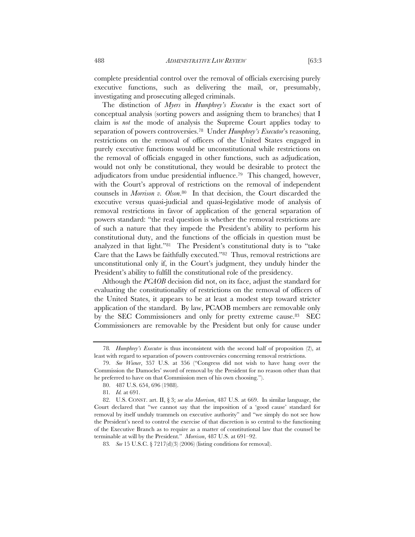complete presidential control over the removal of officials exercising purely executive functions, such as delivering the mail, or, presumably, investigating and prosecuting alleged criminals.

The distinction of *Myers* in *Humphrey's Executor* is the exact sort of conceptual analysis (sorting powers and assigning them to branches) that I claim is *not* the mode of analysis the Supreme Court applies today to separation of powers controversies.78 Under *Humphrey's Executor*'s reasoning, restrictions on the removal of officers of the United States engaged in purely executive functions would be unconstitutional while restrictions on the removal of officials engaged in other functions, such as adjudication, would not only be constitutional, they would be desirable to protect the adjudicators from undue presidential influence.79 This changed, however, with the Court's approval of restrictions on the removal of independent counsels in *Morrison v. Olson*.80 In that decision, the Court discarded the executive versus quasi-judicial and quasi-legislative mode of analysis of removal restrictions in favor of application of the general separation of powers standard: "the real question is whether the removal restrictions are of such a nature that they impede the President's ability to perform his constitutional duty, and the functions of the officials in question must be analyzed in that light."81 The President's constitutional duty is to "take Care that the Laws be faithfully executed."82 Thus, removal restrictions are unconstitutional only if, in the Court's judgment, they unduly hinder the President's ability to fulfill the constitutional role of the presidency.

Although the *PCAOB* decision did not, on its face, adjust the standard for evaluating the constitutionality of restrictions on the removal of officers of the United States, it appears to be at least a modest step toward stricter application of the standard. By law, PCAOB members are removable only by the SEC Commissioners and only for pretty extreme cause.83 SEC Commissioners are removable by the President but only for cause under

<sup>78</sup>*. Humphrey's Executor* is thus inconsistent with the second half of proposition (2), at least with regard to separation of powers controversies concerning removal restrictions.

<sup>79.</sup> *See Wiener*, 357 U.S. at 356 ("Congress did not wish to have hang over the Commission the Damocles' sword of removal by the President for no reason other than that he preferred to have on that Commission men of his own choosing.").

<sup>80. 487</sup> U.S. 654, 696 (1988).

<sup>81</sup>*. Id.* at 691.

<sup>82.</sup> U.S. CONST. art. II, § 3; *see also Morrison*, 487 U.S. at 669. In similar language, the Court declared that "we cannot say that the imposition of a 'good cause' standard for removal by itself unduly trammels on executive authority" and "we simply do not see how the President's need to control the exercise of that discretion is so central to the functioning of the Executive Branch as to require as a matter of constitutional law that the counsel be terminable at will by the President." *Morrison*, 487 U.S. at 691–92.

<sup>83</sup>*. See* 15 U.S.C. § 7217(d)(3) (2006) (listing conditions for removal).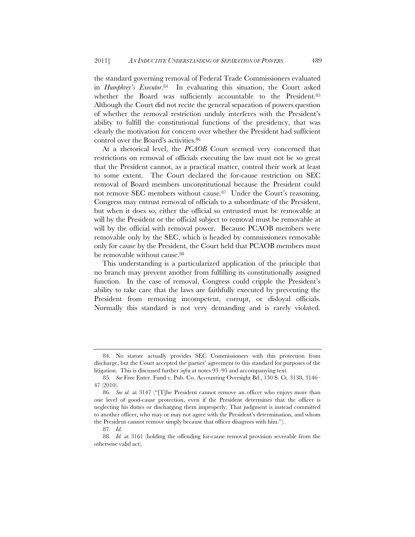the standard governing removal of Federal Trade Commissioners evaluated in *Humphrey's Executor*.84 In evaluating this situation, the Court asked whether the Board was sufficiently accountable to the President.<sup>85</sup> Although the Court did not recite the general separation of powers question of whether the removal restriction unduly interferes with the President's ability to fulfill the constitutional functions of the presidency, that was clearly the motivation for concern over whether the President had sufficient control over the Board's activities.86

At a rhetorical level, the *PCAOB* Court seemed very concerned that restrictions on removal of officials executing the law must not be so great that the President cannot, as a practical matter, control their work at least to some extent. The Court declared the for-cause restriction on SEC removal of Board members unconstitutional because the President could not remove SEC members without cause.<sup>87</sup> Under the Court's reasoning, Congress may entrust removal of officials to a subordinate of the President, but when it does so, either the official so entrusted must be removable at will by the President or the official subject to removal must be removable at will by the official with removal power. Because PCAOB members were removable only by the SEC, which is headed by commissioners removable only for cause by the President, the Court held that PCAOB members must be removable without cause.<sup>88</sup>

This understanding is a particularized application of the principle that no branch may prevent another from fulfilling its constitutionally assigned function. In the case of removal, Congress could cripple the President's ability to take care that the laws are faithfully executed by preventing the President from removing incompetent, corrupt, or disloyal officials. Normally this standard is not very demanding and is rarely violated.

<sup>84.</sup> No statute actually provides SEC Commissioners with this protection from discharge, but the Court accepted the parties' agreement to this standard for purposes of the litigation. This is discussed further *infra* at notes 93–95 and accompanying text.

<sup>85</sup>*. See* Free Enter. Fund v. Pub. Co. Accounting Oversight Bd., 130 S. Ct. 3138, 3146– 47 (2010).

<sup>86</sup>*. See id.* at 3147 ("[T]he President cannot remove an officer who enjoys more than one level of good-cause protection, even if the President determines that the officer is neglecting his duties or discharging them improperly. That judgment is instead committed to another officer, who may or may not agree with the President's determination, and whom the President cannot remove simply because that officer disagrees with him.").

<sup>87</sup>*. Id.*

<sup>88</sup>*. Id.* at 3161 (holding the offending for-cause removal provision severable from the otherwise valid act).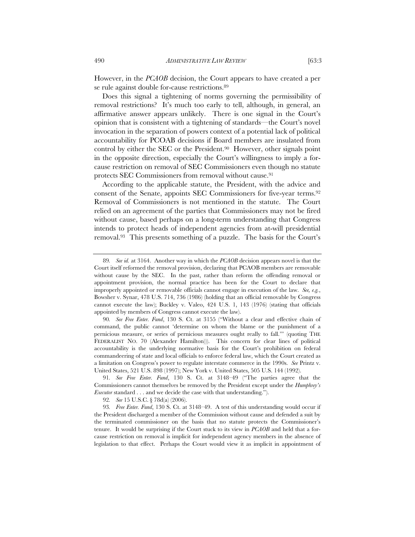However, in the *PCAOB* decision, the Court appears to have created a per se rule against double for-cause restrictions.<sup>89</sup>

Does this signal a tightening of norms governing the permissibility of removal restrictions? It's much too early to tell, although, in general, an affirmative answer appears unlikely. There is one signal in the Court's opinion that is consistent with a tightening of standards—the Court's novel invocation in the separation of powers context of a potential lack of political accountability for PCOAB decisions if Board members are insulated from control by either the SEC or the President.90 However, other signals point in the opposite direction, especially the Court's willingness to imply a forcause restriction on removal of SEC Commissioners even though no statute protects SEC Commissioners from removal without cause.<sup>91</sup>

According to the applicable statute, the President, with the advice and consent of the Senate, appoints SEC Commissioners for five-year terms.92 Removal of Commissioners is not mentioned in the statute. The Court relied on an agreement of the parties that Commissioners may not be fired without cause, based perhaps on a long-term understanding that Congress intends to protect heads of independent agencies from at-will presidential removal.93 This presents something of a puzzle. The basis for the Court's

<sup>89</sup>*. See id.* at 3164. Another way in which the *PCAOB* decision appears novel is that the Court itself reformed the removal provision, declaring that PCAOB members are removable without cause by the SEC. In the past, rather than reform the offending removal or appointment provision, the normal practice has been for the Court to declare that improperly appointed or removable officials cannot engage in execution of the law. *See, e.g.*, Bowsher v. Synar, 478 U.S. 714, 736 (1986) (holding that an official removable by Congress cannot execute the law); Buckley v. Valeo, 424 U.S. 1, 143 (1976) (stating that officials appointed by members of Congress cannot execute the law).

<sup>90</sup>*. See Free Enter. Fund*, 130 S. Ct. at 3155 ("Without a clear and effective chain of command, the public cannot 'determine on whom the blame or the punishment of a pernicious measure, or series of pernicious measures ought really to fall.'" (quoting THE FEDERALIST NO. 70 (Alexander Hamilton))). This concern for clear lines of political accountability is the underlying normative basis for the Court's prohibition on federal commandeering of state and local officials to enforce federal law, which the Court created as a limitation on Congress's power to regulate interstate commerce in the 1990s. *See* Printz v. United States, 521 U.S. 898 (1997); New York v. United States, 505 U.S. 144 (1992).

<sup>91</sup>*. See Free Enter. Fund*, 130 S. Ct. at 3148–49 ("The parties agree that the Commissioners cannot themselves be removed by the President except under the *Humphrey's Executor* standard . . . and we decide the case with that understanding.").

<sup>92</sup>*. See* 15 U.S.C. § 78d(a) (2006).

<sup>93</sup>*. Free Enter. Fund*, 130 S. Ct. at 3148–49. A test of this understanding would occur if the President discharged a member of the Commission without cause and defended a suit by the terminated commissioner on the basis that no statute protects the Commissioner's tenure. It would be surprising if the Court stuck to its view in *PCAOB* and held that a forcause restriction on removal is implicit for independent agency members in the absence of legislation to that effect. Perhaps the Court would view it as implicit in appointment of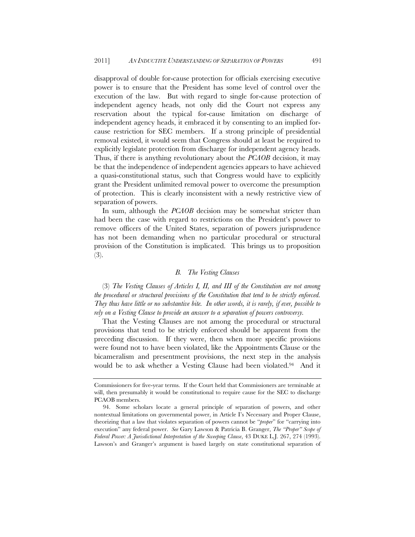disapproval of double for-cause protection for officials exercising executive power is to ensure that the President has some level of control over the execution of the law. But with regard to single for-cause protection of independent agency heads, not only did the Court not express any reservation about the typical for-cause limitation on discharge of independent agency heads, it embraced it by consenting to an implied forcause restriction for SEC members. If a strong principle of presidential removal existed, it would seem that Congress should at least be required to explicitly legislate protection from discharge for independent agency heads. Thus, if there is anything revolutionary about the *PCAOB* decision, it may be that the independence of independent agencies appears to have achieved a quasi-constitutional status, such that Congress would have to explicitly grant the President unlimited removal power to overcome the presumption of protection. This is clearly inconsistent with a newly restrictive view of separation of powers.

In sum, although the *PCAOB* decision may be somewhat stricter than had been the case with regard to restrictions on the President's power to remove officers of the United States, separation of powers jurisprudence has not been demanding when no particular procedural or structural provision of the Constitution is implicated. This brings us to proposition (3).

# *B. The Vesting Clauses*

(3) *The Vesting Clauses of Articles I, II, and III of the Constitution are not among the procedural or structural provisions of the Constitution that tend to be strictly enforced. They thus have little or no substantive bite. In other words, it is rarely, if ever, possible to rely on a Vesting Clause to provide an answer to a separation of powers controversy.*

That the Vesting Clauses are not among the procedural or structural provisions that tend to be strictly enforced should be apparent from the preceding discussion. If they were, then when more specific provisions were found not to have been violated, like the Appointments Clause or the bicameralism and presentment provisions, the next step in the analysis would be to ask whether a Vesting Clause had been violated.<sup>94</sup> And it

Commissioners for five-year terms. If the Court held that Commissioners are terminable at will, then presumably it would be constitutional to require cause for the SEC to discharge PCAOB members.

<sup>94.</sup> Some scholars locate a general principle of separation of powers, and other nontextual limitations on governmental power, in Article I's Necessary and Proper Clause, theorizing that a law that violates separation of powers cannot be "*proper*" for "carrying into execution" any federal power. *See* Gary Lawson & Patricia B. Granger, *The "Proper" Scope of Federal Power: A Jurisdictional Interpretation of the Sweeping Clause*, 43 DUKE L.J. 267, 274 (1993). Lawson's and Granger's argument is based largely on state constitutional separation of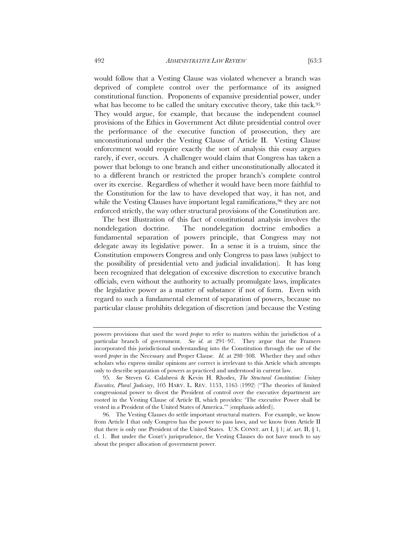would follow that a Vesting Clause was violated whenever a branch was deprived of complete control over the performance of its assigned constitutional function. Proponents of expansive presidential power, under what has become to be called the unitary executive theory, take this tack.<sup>95</sup> They would argue, for example, that because the independent counsel provisions of the Ethics in Government Act dilute presidential control over the performance of the executive function of prosecution, they are unconstitutional under the Vesting Clause of Article II. Vesting Clause enforcement would require exactly the sort of analysis this essay argues rarely, if ever, occurs. A challenger would claim that Congress has taken a power that belongs to one branch and either unconstitutionally allocated it to a different branch or restricted the proper branch's complete control over its exercise. Regardless of whether it would have been more faithful to the Constitution for the law to have developed that way, it has not, and

while the Vesting Clauses have important legal ramifications,<sup>96</sup> they are not enforced strictly, the way other structural provisions of the Constitution are. The best illustration of this fact of constitutional analysis involves the nondelegation doctrine. The nondelegation doctrine embodies a fundamental separation of powers principle, that Congress may not delegate away its legislative power. In a sense it is a truism, since the Constitution empowers Congress and only Congress to pass laws (subject to the possibility of presidential veto and judicial invalidation). It has long been recognized that delegation of excessive discretion to executive branch officials, even without the authority to actually promulgate laws, implicates the legislative power as a matter of substance if not of form. Even with regard to such a fundamental element of separation of powers, because no particular clause prohibits delegation of discretion (and because the Vesting

powers provisions that used the word *proper* to refer to matters within the jurisdiction of a particular branch of government. *See id.* at 291–97. They argue that the Framers incorporated this jurisdictional understanding into the Constitution through the use of the word *proper* in the Necessary and Proper Clause. *Id.* at 298–308. Whether they and other scholars who express similar opinions are correct is irrelevant to this Article which attempts only to describe separation of powers as practiced and understood in current law.

<sup>95</sup>*. See* Steven G. Calabresi & Kevin H. Rhodes, *The Structural Constitution: Unitary Executive, Plural Judiciary*, 105 HARV. L. REV. 1153, 1165 (1992) ("The theories of limited congressional power to divest the President of control over the executive department are rooted in the Vesting Clause of Article II, which provides: 'The executive Power shall be vested in *a* President of the United States of America.'" (emphasis added)).

<sup>96.</sup> The Vesting Clauses do settle important structural matters. For example, we know from Article I that only Congress has the power to pass laws, and we know from Article II that there is only one President of the United States. U.S. CONST. art I, § 1; *id*. art. II, § 1, cl. 1. But under the Court's jurisprudence, the Vesting Clauses do not have much to say about the proper allocation of government power.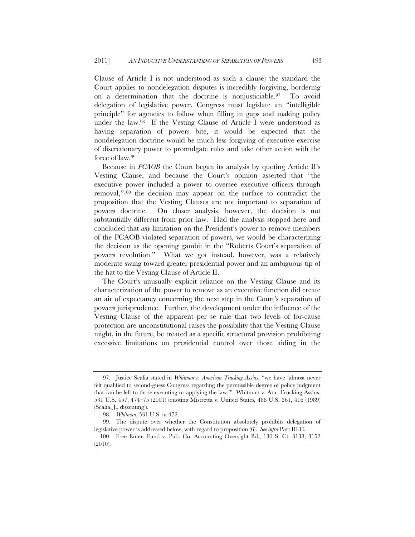Clause of Article I is not understood as such a clause) the standard the Court applies to nondelegation disputes is incredibly forgiving, bordering on a determination that the doctrine is nonjusticiable.97 To avoid delegation of legislative power, Congress must legislate an "intelligible principle" for agencies to follow when filling in gaps and making policy under the law.98 If the Vesting Clause of Article I were understood as having separation of powers bite, it would be expected that the nondelegation doctrine would be much less forgiving of executive exercise of discretionary power to promulgate rules and take other action with the force of law.99

Because in *PCAOB* the Court began its analysis by quoting Article II's Vesting Clause, and because the Court's opinion asserted that "the executive power included a power to oversee executive officers through removal,"100 the decision may appear on the surface to contradict the proposition that the Vesting Clauses are not important to separation of powers doctrine. On closer analysis, however, the decision is not substantially different from prior law. Had the analysis stopped here and concluded that *any* limitation on the President's power to remove members of the PCAOB violated separation of powers, we would be characterizing the decision as the opening gambit in the "Roberts Court's separation of powers revolution." What we got instead, however, was a relatively moderate swing toward greater presidential power and an ambiguous tip of the hat to the Vesting Clause of Article II.

The Court's unusually explicit reliance on the Vesting Clause and its characterization of the power to remove as an executive function did create an air of expectancy concerning the next step in the Court's separation of powers jurisprudence. Further, the development under the influence of the Vesting Clause of the apparent per se rule that two levels of for-cause protection are unconstitutional raises the possibility that the Vesting Clause might, in the future, be treated as a specific structural provision prohibiting excessive limitations on presidential control over those aiding in the

<sup>97.</sup> Justice Scalia stated in *Whitman v. American Trucking Ass'ns*, "we have 'almost never felt qualified to second-guess Congress regarding the permissible degree of policy judgment that can be left to those executing or applying the law.'" Whitman v. Am. Trucking Ass'ns, 531 U.S. 457, 474–75 (2001) (quoting Mistretta v. United States*,* 488 U.S. 361, 416 (1989) (Scalia, J., dissenting)).

<sup>98</sup>*. Whitman*, 531 U.S at 472.

<sup>99.</sup> The dispute over whether the Constitution absolutely prohibits delegation of legislative power is addressed below, with regard to proposition (6). *See infra* Part III.C.

 <sup>100.</sup> Free Enter. Fund v. Pub. Co. Accounting Oversight Bd., 130 S. Ct. 3138, 3152 (2010).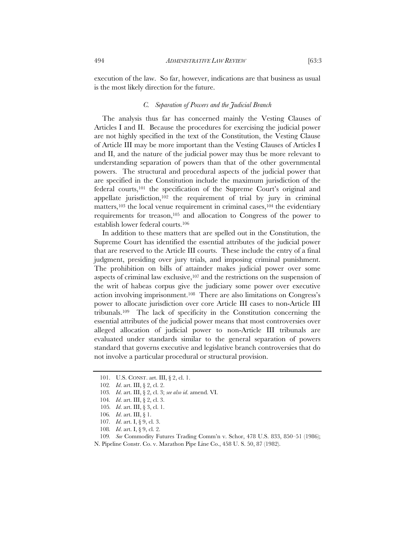execution of the law. So far, however, indications are that business as usual is the most likely direction for the future.

# *C. Separation of Powers and the Judicial Branch*

The analysis thus far has concerned mainly the Vesting Clauses of Articles I and II. Because the procedures for exercising the judicial power are not highly specified in the text of the Constitution, the Vesting Clause of Article III may be more important than the Vesting Clauses of Articles I and II, and the nature of the judicial power may thus be more relevant to understanding separation of powers than that of the other governmental powers. The structural and procedural aspects of the judicial power that are specified in the Constitution include the maximum jurisdiction of the federal courts,101 the specification of the Supreme Court's original and appellate jurisdiction,102 the requirement of trial by jury in criminal matters,<sup>103</sup> the local venue requirement in criminal cases,<sup>104</sup> the evidentiary requirements for treason,105 and allocation to Congress of the power to establish lower federal courts.106

In addition to these matters that are spelled out in the Constitution, the Supreme Court has identified the essential attributes of the judicial power that are reserved to the Article III courts. These include the entry of a final judgment, presiding over jury trials, and imposing criminal punishment. The prohibition on bills of attainder makes judicial power over some aspects of criminal law exclusive,107 and the restrictions on the suspension of the writ of habeas corpus give the judiciary some power over executive action involving imprisonment.108 There are also limitations on Congress's power to allocate jurisdiction over core Article III cases to non-Article III tribunals.109 The lack of specificity in the Constitution concerning the essential attributes of the judicial power means that most controversies over alleged allocation of judicial power to non-Article III tribunals are evaluated under standards similar to the general separation of powers standard that governs executive and legislative branch controversies that do not involve a particular procedural or structural provision.

 <sup>101.</sup> U.S. CONST. art. III, § 2, cl. 1.

<sup>102</sup>*. Id*. art. III, § 2, cl. 2.

<sup>103</sup>*. Id*. art. III, § 2, cl. 3; *see also id*. amend. VI.

<sup>104</sup>*. Id*. art. III, § 2, cl. 3.

<sup>105</sup>*. Id*. art. III, § 3, cl. 1.

<sup>106</sup>*. Id*. art. III, § 1.

<sup>107</sup>*. Id*. art. I, § 9, cl. 3.

<sup>108</sup>*. Id*. art. I, § 9, cl. 2.

<sup>109</sup>*. See* Commodity Futures Trading Comm'n v. Schor, 478 U.S. 833, 850–51 (1986); N. Pipeline Constr. Co. v. Marathon Pipe Line Co., 458 U. S. 50, 87 (1982).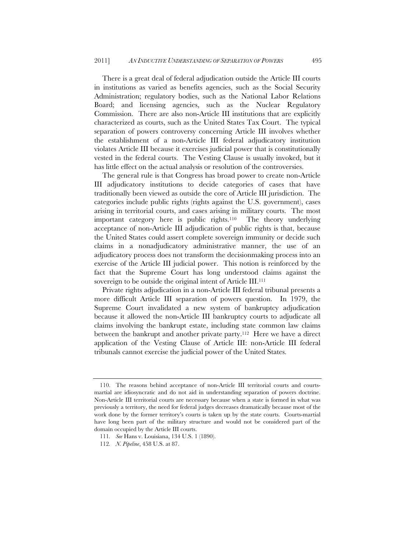There is a great deal of federal adjudication outside the Article III courts in institutions as varied as benefits agencies, such as the Social Security Administration; regulatory bodies, such as the National Labor Relations Board; and licensing agencies, such as the Nuclear Regulatory Commission. There are also non-Article III institutions that are explicitly characterized as courts, such as the United States Tax Court. The typical separation of powers controversy concerning Article III involves whether the establishment of a non-Article III federal adjudicatory institution violates Article III because it exercises judicial power that is constitutionally vested in the federal courts. The Vesting Clause is usually invoked, but it has little effect on the actual analysis or resolution of the controversies.

The general rule is that Congress has broad power to create non-Article III adjudicatory institutions to decide categories of cases that have traditionally been viewed as outside the core of Article III jurisdiction. The categories include public rights (rights against the U.S. government), cases arising in territorial courts, and cases arising in military courts. The most important category here is public rights.110 The theory underlying acceptance of non-Article III adjudication of public rights is that, because the United States could assert complete sovereign immunity or decide such claims in a nonadjudicatory administrative manner, the use of an adjudicatory process does not transform the decisionmaking process into an exercise of the Article III judicial power. This notion is reinforced by the fact that the Supreme Court has long understood claims against the sovereign to be outside the original intent of Article III.<sup>111</sup>

Private rights adjudication in a non-Article III federal tribunal presents a more difficult Article III separation of powers question. In 1979, the Supreme Court invalidated a new system of bankruptcy adjudication because it allowed the non-Article III bankruptcy courts to adjudicate all claims involving the bankrupt estate, including state common law claims between the bankrupt and another private party.112 Here we have a direct application of the Vesting Clause of Article III: non-Article III federal tribunals cannot exercise the judicial power of the United States.

 <sup>110.</sup> The reasons behind acceptance of non-Article III territorial courts and courtsmartial are idiosyncratic and do not aid in understanding separation of powers doctrine. Non-Article III territorial courts are necessary because when a state is formed in what was previously a territory, the need for federal judges decreases dramatically because most of the work done by the former territory's courts is taken up by the state courts. Courts-martial have long been part of the military structure and would not be considered part of the domain occupied by the Article III courts.

<sup>111</sup>*. See* Hans v. Louisiana, 134 U.S. 1 (1890).

<sup>112</sup>*. N. Pipeline*, 458 U.S. at 87.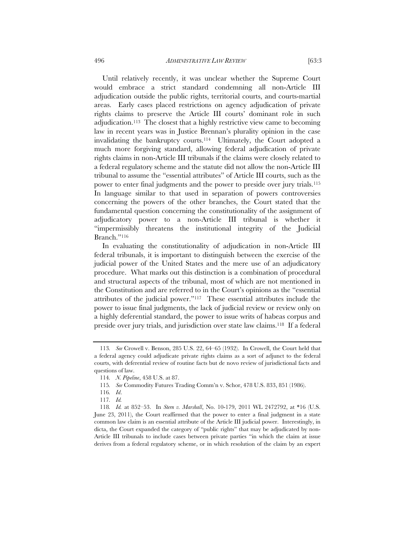Until relatively recently, it was unclear whether the Supreme Court would embrace a strict standard condemning all non-Article III adjudication outside the public rights, territorial courts, and courts-martial areas. Early cases placed restrictions on agency adjudication of private rights claims to preserve the Article III courts' dominant role in such adjudication.113 The closest that a highly restrictive view came to becoming law in recent years was in Justice Brennan's plurality opinion in the case invalidating the bankruptcy courts.114 Ultimately, the Court adopted a much more forgiving standard, allowing federal adjudication of private rights claims in non-Article III tribunals if the claims were closely related to a federal regulatory scheme and the statute did not allow the non-Article III tribunal to assume the "essential attributes" of Article III courts, such as the power to enter final judgments and the power to preside over jury trials.115 In language similar to that used in separation of powers controversies concerning the powers of the other branches, the Court stated that the fundamental question concerning the constitutionality of the assignment of adjudicatory power to a non-Article III tribunal is whether it "impermissibly threatens the institutional integrity of the Judicial Branch."116

In evaluating the constitutionality of adjudication in non-Article III federal tribunals, it is important to distinguish between the exercise of the judicial power of the United States and the mere use of an adjudicatory procedure. What marks out this distinction is a combination of procedural and structural aspects of the tribunal, most of which are not mentioned in the Constitution and are referred to in the Court's opinions as the "essential attributes of the judicial power."117 These essential attributes include the power to issue final judgments, the lack of judicial review or review only on a highly deferential standard, the power to issue writs of habeas corpus and preside over jury trials, and jurisdiction over state law claims.118 If a federal

<sup>113</sup>*. See* Crowell v. Benson, 285 U.S. 22, 64–65 (1932). In Crowell, the Court held that a federal agency could adjudicate private rights claims as a sort of adjunct to the federal courts, with deferential review of routine facts but de novo review of jurisdictional facts and questions of law.

<sup>114</sup>*. N. Pipeline*, 458 U.S. at 87.

<sup>115</sup>*. See* Commodity Futures Trading Comm'n v. Schor, 478 U.S. 833, 851 (1986).

<sup>116</sup>*. Id*.

<sup>117</sup>*. Id.* 

<sup>118</sup>*. Id.* at 852–53. In *Stern v. Marshall*, No. 10-179, 2011 WL 2472792, at \*16 (U.S. June 23, 2011), the Court reaffirmed that the power to enter a final judgment in a state common law claim is an essential attribute of the Article III judicial power. Interestingly, in dicta, the Court expanded the category of "public rights" that may be adjudicated by non-Article III tribunals to include cases between private parties "in which the claim at issue derives from a federal regulatory scheme, or in which resolution of the claim by an expert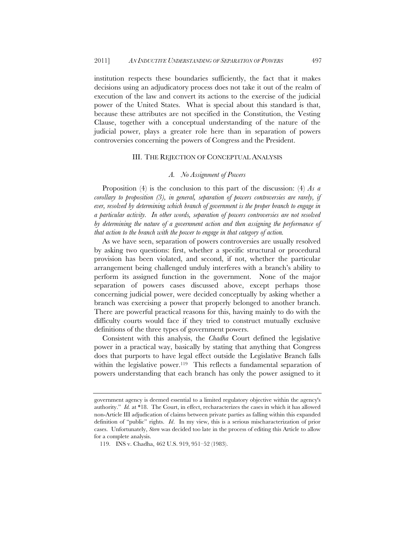institution respects these boundaries sufficiently, the fact that it makes decisions using an adjudicatory process does not take it out of the realm of execution of the law and convert its actions to the exercise of the judicial power of the United States. What is special about this standard is that, because these attributes are not specified in the Constitution, the Vesting Clause, together with a conceptual understanding of the nature of the judicial power, plays a greater role here than in separation of powers controversies concerning the powers of Congress and the President.

#### III. THE REJECTION OF CONCEPTUAL ANALYSIS

# *A. No Assignment of Powers*

Proposition (4) is the conclusion to this part of the discussion: (4) *As a corollary to proposition (3), in general, separation of powers controversies are rarely, if ever, resolved by determining which branch of government is the proper branch to engage in a particular activity. In other words, separation of powers controversies are not resolved by determining the nature of a government action and then assigning the performance of that action to the branch with the power to engage in that category of action.*

As we have seen, separation of powers controversies are usually resolved by asking two questions: first, whether a specific structural or procedural provision has been violated, and second, if not, whether the particular arrangement being challenged unduly interferes with a branch's ability to perform its assigned function in the government. None of the major separation of powers cases discussed above, except perhaps those concerning judicial power, were decided conceptually by asking whether a branch was exercising a power that properly belonged to another branch. There are powerful practical reasons for this, having mainly to do with the difficulty courts would face if they tried to construct mutually exclusive definitions of the three types of government powers.

Consistent with this analysis, the *Chadha* Court defined the legislative power in a practical way, basically by stating that anything that Congress does that purports to have legal effect outside the Legislative Branch falls within the legislative power.<sup>119</sup> This reflects a fundamental separation of powers understanding that each branch has only the power assigned to it

government agency is deemed essential to a limited regulatory objective within the agency's authority." *Id.* at \*18. The Court, in effect, recharacterizes the cases in which it has allowed non-Article III adjudication of claims between private parties as falling within this expanded definition of "public" rights. *Id*. In my view, this is a serious mischaracterization of prior cases. Unfortunately, *Stern* was decided too late in the process of editing this Article to allow for a complete analysis.

<sup>119.</sup> INS v. Chadha, 462 U.S. 919, 951–52 (1983).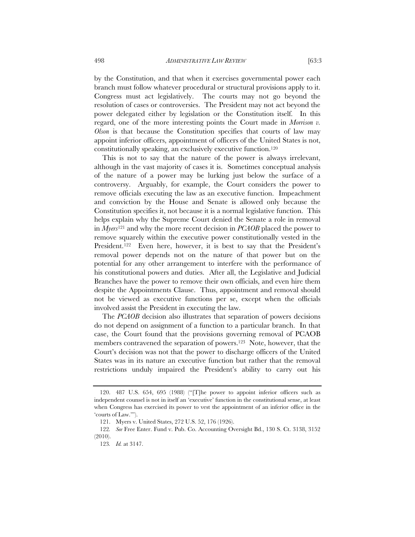by the Constitution, and that when it exercises governmental power each branch must follow whatever procedural or structural provisions apply to it. Congress must act legislatively. The courts may not go beyond the resolution of cases or controversies. The President may not act beyond the power delegated either by legislation or the Constitution itself. In this regard, one of the more interesting points the Court made in *Morrison v. Olson* is that because the Constitution specifies that courts of law may appoint inferior officers, appointment of officers of the United States is not, constitutionally speaking, an exclusively executive function.120

This is not to say that the nature of the power is always irrelevant, although in the vast majority of cases it is. Sometimes conceptual analysis of the nature of a power may be lurking just below the surface of a controversy. Arguably, for example, the Court considers the power to remove officials executing the law as an executive function. Impeachment and conviction by the House and Senate is allowed only because the Constitution specifies it, not because it is a normal legislative function. This helps explain why the Supreme Court denied the Senate a role in removal in *Myers*121 and why the more recent decision in *PCAOB* placed the power to remove squarely within the executive power constitutionally vested in the President.<sup>122</sup> Even here, however, it is best to say that the President's removal power depends not on the nature of that power but on the potential for any other arrangement to interfere with the performance of his constitutional powers and duties. After all, the Legislative and Judicial Branches have the power to remove their own officials, and even hire them despite the Appointments Clause. Thus, appointment and removal should not be viewed as executive functions per se, except when the officials involved assist the President in executing the law.

The *PCAOB* decision also illustrates that separation of powers decisions do not depend on assignment of a function to a particular branch. In that case, the Court found that the provisions governing removal of PCAOB members contravened the separation of powers.123 Note, however, that the Court's decision was not that the power to discharge officers of the United States was in its nature an executive function but rather that the removal restrictions unduly impaired the President's ability to carry out his

 <sup>120. 487</sup> U.S. 654, 695 (1988) ("[T]he power to appoint inferior officers such as independent counsel is not in itself an 'executive' function in the constitutional sense, at least when Congress has exercised its power to vest the appointment of an inferior office in the 'courts of Law.'").

<sup>121.</sup> Myers v. United States, 272 U.S. 52, 176 (1926).

<sup>122</sup>*. See* Free Enter. Fund v. Pub. Co. Accounting Oversight Bd., 130 S. Ct. 3138, 3152 (2010).

<sup>123</sup>*. Id.* at 3147.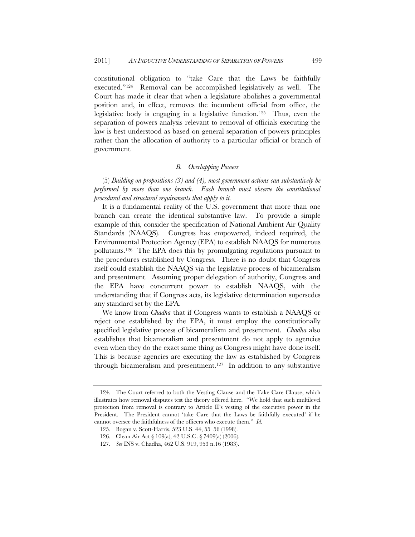constitutional obligation to "take Care that the Laws be faithfully executed."124 Removal can be accomplished legislatively as well. The Court has made it clear that when a legislature abolishes a governmental position and, in effect, removes the incumbent official from office, the legislative body is engaging in a legislative function.125 Thus, even the separation of powers analysis relevant to removal of officials executing the law is best understood as based on general separation of powers principles rather than the allocation of authority to a particular official or branch of government.

### *B. Overlapping Powers*

(5) *Building on propositions (3) and (4), most government actions can substantively be performed by more than one branch. Each branch must observe the constitutional procedural and structural requirements that apply to it.*

It is a fundamental reality of the U.S. government that more than one branch can create the identical substantive law. To provide a simple example of this, consider the specification of National Ambient Air Quality Standards (NAAQS). Congress has empowered, indeed required, the Environmental Protection Agency (EPA) to establish NAAQS for numerous pollutants.126 The EPA does this by promulgating regulations pursuant to the procedures established by Congress. There is no doubt that Congress itself could establish the NAAQS via the legislative process of bicameralism and presentment. Assuming proper delegation of authority, Congress and the EPA have concurrent power to establish NAAQS, with the understanding that if Congress acts, its legislative determination supersedes any standard set by the EPA.

We know from *Chadha* that if Congress wants to establish a NAAQS or reject one established by the EPA, it must employ the constitutionally specified legislative process of bicameralism and presentment. *Chadha* also establishes that bicameralism and presentment do not apply to agencies even when they do the exact same thing as Congress might have done itself. This is because agencies are executing the law as established by Congress through bicameralism and presentment.127 In addition to any substantive

 <sup>124.</sup> The Court referred to both the Vesting Clause and the Take Care Clause, which illustrates how removal disputes test the theory offered here. "We hold that such multilevel protection from removal is contrary to Article II's vesting of the executive power in the President. The President cannot 'take Care that the Laws be faithfully executed' if he cannot oversee the faithfulness of the officers who execute them." *Id.*

<sup>125.</sup> Bogan v. Scott-Harris, 523 U.S. 44, 55–56 (1998).

<sup>126.</sup> Clean Air Act § 109(a), 42 U.S.C. § 7409(a) (2006).

<sup>127</sup>*. See* INS v. Chadha, 462 U.S. 919, 953 n.16 (1983).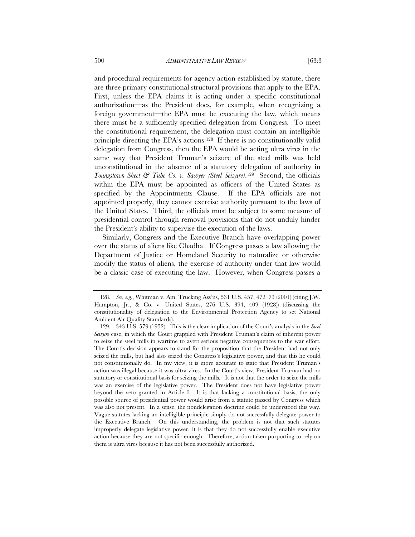and procedural requirements for agency action established by statute, there are three primary constitutional structural provisions that apply to the EPA. First, unless the EPA claims it is acting under a specific constitutional authorization—as the President does, for example, when recognizing a foreign government—the EPA must be executing the law, which means there must be a sufficiently specified delegation from Congress. To meet the constitutional requirement, the delegation must contain an intelligible principle directing the EPA's actions.128 If there is no constitutionally valid delegation from Congress, then the EPA would be acting ultra vires in the same way that President Truman's seizure of the steel mills was held unconstitutional in the absence of a statutory delegation of authority in *Youngstown Sheet & Tube Co. v. Sawyer (Steel Seizure)*.129 Second, the officials within the EPA must be appointed as officers of the United States as specified by the Appointments Clause. If the EPA officials are not appointed properly, they cannot exercise authority pursuant to the laws of the United States. Third, the officials must be subject to some measure of presidential control through removal provisions that do not unduly hinder the President's ability to supervise the execution of the laws.

Similarly, Congress and the Executive Branch have overlapping power over the status of aliens like Chadha. If Congress passes a law allowing the Department of Justice or Homeland Security to naturalize or otherwise modify the status of aliens, the exercise of authority under that law would be a classic case of executing the law. However, when Congress passes a

<sup>128</sup>*. See, e.g.*, Whitman v. Am. Trucking Ass'ns, 531 U.S. 457, 472–73 (2001) (citing J.W. Hampton, Jr., & Co. v. United States, 276 U.S. 394, 409 (1928)) (discussing the constitutionality of delegation to the Environmental Protection Agency to set National Ambient Air Quality Standards).

 <sup>129. 343</sup> U.S. 579 (1952). This is the clear implication of the Court's analysis in the *Steel Seizure* case, in which the Court grappled with President Truman's claim of inherent power to seize the steel mills in wartime to avert serious negative consequences to the war effort. The Court's decision appears to stand for the proposition that the President had not only seized the mills, but had also seized the Congress's legislative power, and that this he could not constitutionally do. In my view, it is more accurate to state that President Truman's action was illegal because it was ultra vires. In the Court's view, President Truman had no statutory or constitutional basis for seizing the mills. It is not that the order to seize the mills was an exercise of the legislative power. The President does not have legislative power beyond the veto granted in Article I. It is that lacking a constitutional basis, the only possible source of presidential power would arise from a statute passed by Congress which was also not present. In a sense, the nondelegation doctrine could be understood this way. Vague statutes lacking an intelligible principle simply do not successfully delegate power to the Executive Branch. On this understanding, the problem is not that such statutes improperly delegate legislative power, it is that they do not successfully enable executive action because they are not specific enough. Therefore, action taken purporting to rely on them is ultra vires because it has not been successfully authorized.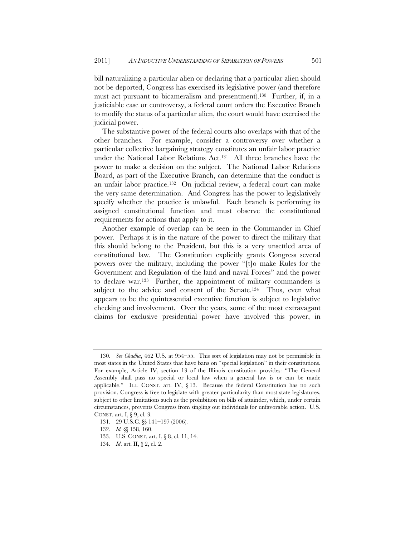bill naturalizing a particular alien or declaring that a particular alien should not be deported, Congress has exercised its legislative power (and therefore must act pursuant to bicameralism and presentment).130 Further, if, in a justiciable case or controversy, a federal court orders the Executive Branch to modify the status of a particular alien, the court would have exercised the judicial power.

The substantive power of the federal courts also overlaps with that of the other branches. For example, consider a controversy over whether a particular collective bargaining strategy constitutes an unfair labor practice under the National Labor Relations Act.131 All three branches have the power to make a decision on the subject. The National Labor Relations Board, as part of the Executive Branch, can determine that the conduct is an unfair labor practice.132 On judicial review, a federal court can make the very same determination. And Congress has the power to legislatively specify whether the practice is unlawful. Each branch is performing its assigned constitutional function and must observe the constitutional requirements for actions that apply to it.

Another example of overlap can be seen in the Commander in Chief power. Perhaps it is in the nature of the power to direct the military that this should belong to the President, but this is a very unsettled area of constitutional law. The Constitution explicitly grants Congress several powers over the military, including the power "[t]o make Rules for the Government and Regulation of the land and naval Forces" and the power to declare war.133 Further, the appointment of military commanders is subject to the advice and consent of the Senate.<sup>134</sup> Thus, even what appears to be the quintessential executive function is subject to legislative checking and involvement. Over the years, some of the most extravagant claims for exclusive presidential power have involved this power, in

<sup>130</sup>*. See Chadha*, 462 U.S. at 954–55. This sort of legislation may not be permissible in most states in the United States that have bans on "special legislation" in their constitutions. For example, Article IV, section 13 of the Illinois constitution provides: "The General Assembly shall pass no special or local law when a general law is or can be made applicable." ILL. CONST. art. IV,  $\S$  13. Because the federal Constitution has no such provision, Congress is free to legislate with greater particularity than most state legislatures, subject to other limitations such as the prohibition on bills of attainder, which, under certain circumstances, prevents Congress from singling out individuals for unfavorable action. U.S. CONST. art. I, § 9, cl. 3.

<sup>131. 29</sup> U.S.C. §§ 141–197 (2006).

<sup>132</sup>*. Id.* §§ 158, 160.

 <sup>133.</sup> U.S. CONST. art. I, § 8, cl. 11, 14.

 <sup>134.</sup> *Id*. art. II, § 2, cl. 2.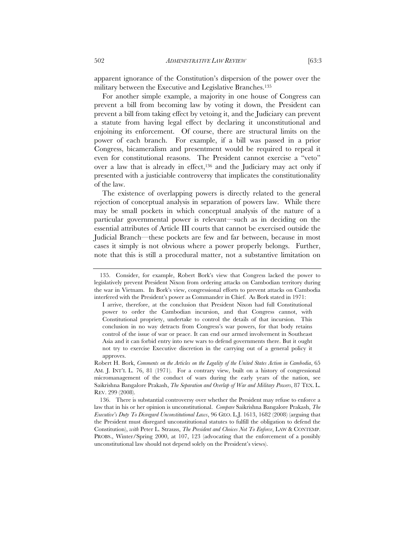apparent ignorance of the Constitution's dispersion of the power over the military between the Executive and Legislative Branches.135

For another simple example, a majority in one house of Congress can prevent a bill from becoming law by voting it down, the President can prevent a bill from taking effect by vetoing it, and the Judiciary can prevent a statute from having legal effect by declaring it unconstitutional and enjoining its enforcement. Of course, there are structural limits on the power of each branch. For example, if a bill was passed in a prior Congress, bicameralism and presentment would be required to repeal it even for constitutional reasons. The President cannot exercise a "veto" over a law that is already in effect,<sup>136</sup> and the Judiciary may act only if presented with a justiciable controversy that implicates the constitutionality of the law.

The existence of overlapping powers is directly related to the general rejection of conceptual analysis in separation of powers law. While there may be small pockets in which conceptual analysis of the nature of a particular governmental power is relevant—such as in deciding on the essential attributes of Article III courts that cannot be exercised outside the Judicial Branch—these pockets are few and far between, because in most cases it simply is not obvious where a power properly belongs. Further, note that this is still a procedural matter, not a substantive limitation on

 <sup>135.</sup> Consider, for example, Robert Bork's view that Congress lacked the power to legislatively prevent President Nixon from ordering attacks on Cambodian territory during the war in Vietnam. In Bork's view, congressional efforts to prevent attacks on Cambodia interfered with the President's power as Commander in Chief. As Bork stated in 1971:

I arrive, therefore, at the conclusion that President Nixon had full Constitutional power to order the Cambodian incursion, and that Congress cannot, with Constitutional propriety, undertake to control the details of that incursion. This conclusion in no way detracts from Congress's war powers, for that body retains control of the issue of war or peace. It can end our armed involvement in Southeast Asia and it can forbid entry into new wars to defend governments there. But it ought not try to exercise Executive discretion in the carrying out of a general policy it approves.

Robert H. Bork, *Comments on the Articles on the Legality of the United States Action in Cambodia*, 65 AM. J. INT'L L. 76, 81 (1971). For a contrary view, built on a history of congressional micromanagement of the conduct of wars during the early years of the nation, see Saikrishna Bangalore Prakash, *The Separation and Overlap of War and Military Powers*, 87 TEX. L. REV. 299 (2008).

 <sup>136.</sup> There is substantial controversy over whether the President may refuse to enforce a law that in his or her opinion is unconstitutional. *Compare* Saikrishna Bangalore Prakash, *The Executive's Duty To Disregard Unconstitutional Laws*, 96 GEO. L.J. 1613, 1682 (2008) (arguing that the President must disregard unconstitutional statutes to fulfill the obligation to defend the Constitution), *with* Peter L. Strauss, *The President and Choices Not To Enforce*, LAW & CONTEMP. PROBS., Winter/Spring 2000, at 107, 123 (advocating that the enforcement of a possibly unconstitutional law should not depend solely on the President's views).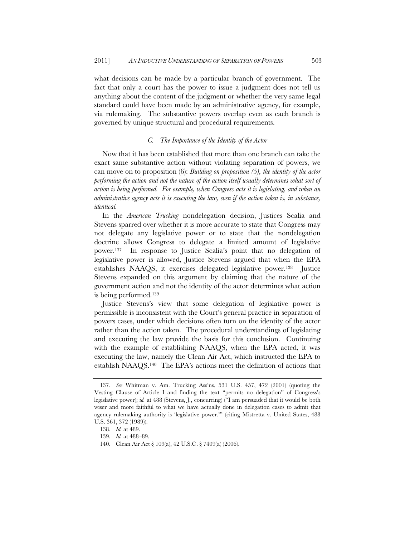what decisions can be made by a particular branch of government. The fact that only a court has the power to issue a judgment does not tell us anything about the content of the judgment or whether the very same legal standard could have been made by an administrative agency, for example, via rulemaking. The substantive powers overlap even as each branch is governed by unique structural and procedural requirements.

#### *C. The Importance of the Identity of the Actor*

Now that it has been established that more than one branch can take the exact same substantive action without violating separation of powers, we can move on to proposition (6): *Building on proposition (5), the identity of the actor performing the action and not the nature of the action itself usually determines what sort of action is being performed. For example, when Congress acts it is legislating, and when an administrative agency acts it is executing the law, even if the action taken is, in substance, identical.*

In the *American Trucking* nondelegation decision, Justices Scalia and Stevens sparred over whether it is more accurate to state that Congress may not delegate any legislative power or to state that the nondelegation doctrine allows Congress to delegate a limited amount of legislative power.137 In response to Justice Scalia's point that no delegation of legislative power is allowed, Justice Stevens argued that when the EPA establishes NAAQS, it exercises delegated legislative power.138 Justice Stevens expanded on this argument by claiming that the nature of the government action and not the identity of the actor determines what action is being performed.139

Justice Stevens's view that some delegation of legislative power is permissible is inconsistent with the Court's general practice in separation of powers cases, under which decisions often turn on the identity of the actor rather than the action taken. The procedural understandings of legislating and executing the law provide the basis for this conclusion. Continuing with the example of establishing NAAQS, when the EPA acted, it was executing the law, namely the Clean Air Act, which instructed the EPA to establish NAAQS.140 The EPA's actions meet the definition of actions that

<sup>137</sup>*. See* Whitman v. Am. Trucking Ass'ns, 531 U.S. 457, 472 (2001) (quoting the Vesting Clause of Article I and finding the text "permits no delegation" of Congress's legislative power); *id.* at 488 (Stevens, J., concurring) ("I am persuaded that it would be both wiser and more faithful to what we have actually done in delegation cases to admit that agency rulemaking authority is 'legislative power.'" (citing Mistretta v. United States, 488 U.S. 361, 372 (1989)).

<sup>138</sup>*. Id.* at 489.

<sup>139</sup>*. Id.* at 488–89.

<sup>140.</sup> Clean Air Act § 109(a), 42 U.S.C. § 7409(a) (2006).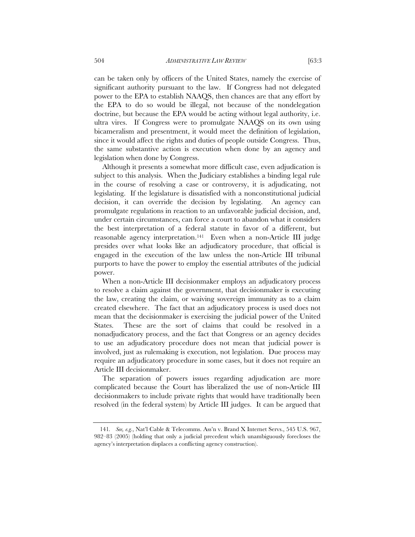can be taken only by officers of the United States, namely the exercise of significant authority pursuant to the law. If Congress had not delegated power to the EPA to establish NAAQS, then chances are that any effort by the EPA to do so would be illegal, not because of the nondelegation doctrine, but because the EPA would be acting without legal authority, i.e. ultra vires. If Congress were to promulgate NAAQS on its own using bicameralism and presentment, it would meet the definition of legislation, since it would affect the rights and duties of people outside Congress. Thus, the same substantive action is execution when done by an agency and legislation when done by Congress.

Although it presents a somewhat more difficult case, even adjudication is subject to this analysis. When the Judiciary establishes a binding legal rule in the course of resolving a case or controversy, it is adjudicating, not legislating. If the legislature is dissatisfied with a nonconstitutional judicial decision, it can override the decision by legislating. An agency can promulgate regulations in reaction to an unfavorable judicial decision, and, under certain circumstances, can force a court to abandon what it considers the best interpretation of a federal statute in favor of a different, but reasonable agency interpretation.141 Even when a non-Article III judge presides over what looks like an adjudicatory procedure, that official is engaged in the execution of the law unless the non-Article III tribunal purports to have the power to employ the essential attributes of the judicial power.

When a non-Article III decisionmaker employs an adjudicatory process to resolve a claim against the government, that decisionmaker is executing the law, creating the claim, or waiving sovereign immunity as to a claim created elsewhere. The fact that an adjudicatory process is used does not mean that the decisionmaker is exercising the judicial power of the United States. These are the sort of claims that could be resolved in a nonadjudicatory process, and the fact that Congress or an agency decides to use an adjudicatory procedure does not mean that judicial power is involved, just as rulemaking is execution, not legislation. Due process may require an adjudicatory procedure in some cases, but it does not require an Article III decisionmaker.

The separation of powers issues regarding adjudication are more complicated because the Court has liberalized the use of non-Article III decisionmakers to include private rights that would have traditionally been resolved (in the federal system) by Article III judges. It can be argued that

<sup>141</sup>*. See, e.g.*, Nat'l Cable & Telecomms. Ass'n v. Brand X Internet Servs., 545 U.S. 967, 982–83 (2005) (holding that only a judicial precedent which unambiguously forecloses the agency's interpretation displaces a conflicting agency construction).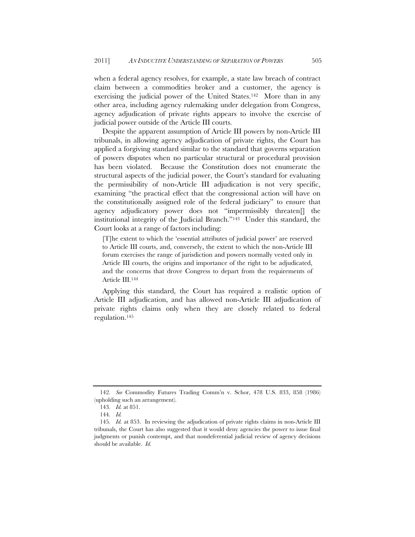when a federal agency resolves, for example, a state law breach of contract claim between a commodities broker and a customer, the agency is exercising the judicial power of the United States.142 More than in any other area, including agency rulemaking under delegation from Congress, agency adjudication of private rights appears to involve the exercise of judicial power outside of the Article III courts.

Despite the apparent assumption of Article III powers by non-Article III tribunals, in allowing agency adjudication of private rights, the Court has applied a forgiving standard similar to the standard that governs separation of powers disputes when no particular structural or procedural provision has been violated. Because the Constitution does not enumerate the structural aspects of the judicial power, the Court's standard for evaluating the permissibility of non-Article III adjudication is not very specific, examining "the practical effect that the congressional action will have on the constitutionally assigned role of the federal judiciary" to ensure that agency adjudicatory power does not "impermissibly threaten[] the institutional integrity of the Judicial Branch."143 Under this standard, the Court looks at a range of factors including:

[T]he extent to which the 'essential attributes of judicial power' are reserved to Article III courts, and, conversely, the extent to which the non-Article III forum exercises the range of jurisdiction and powers normally vested only in Article III courts, the origins and importance of the right to be adjudicated, and the concerns that drove Congress to depart from the requirements of Article III.144

Applying this standard, the Court has required a realistic option of Article III adjudication, and has allowed non-Article III adjudication of private rights claims only when they are closely related to federal regulation.145

<sup>142</sup>*. See* Commodity Futures Trading Comm'n v. Schor, 478 U.S. 833, 858 (1986) (upholding such an arrangement).

<sup>143</sup>*. Id.* at 851.

<sup>144</sup>*. Id.*

<sup>145</sup>*. Id.* at 853. In reviewing the adjudication of private rights claims in non-Article III tribunals, the Court has also suggested that it would deny agencies the power to issue final judgments or punish contempt, and that nondeferential judicial review of agency decisions should be available. *Id.*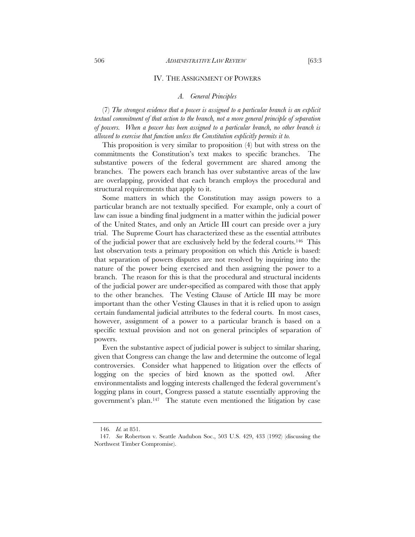#### IV. THE ASSIGNMENT OF POWERS

#### *A. General Principles*

(7) *The strongest evidence that a power is assigned to a particular branch is an explicit textual commitment of that action to the branch, not a more general principle of separation of powers. When a power has been assigned to a particular branch, no other branch is allowed to exercise that function unless the Constitution explicitly permits it to.*

This proposition is very similar to proposition (4) but with stress on the commitments the Constitution's text makes to specific branches. The substantive powers of the federal government are shared among the branches. The powers each branch has over substantive areas of the law are overlapping, provided that each branch employs the procedural and structural requirements that apply to it.

Some matters in which the Constitution may assign powers to a particular branch are not textually specified. For example, only a court of law can issue a binding final judgment in a matter within the judicial power of the United States, and only an Article III court can preside over a jury trial. The Supreme Court has characterized these as the essential attributes of the judicial power that are exclusively held by the federal courts.146 This last observation tests a primary proposition on which this Article is based: that separation of powers disputes are not resolved by inquiring into the nature of the power being exercised and then assigning the power to a branch. The reason for this is that the procedural and structural incidents of the judicial power are under-specified as compared with those that apply to the other branches. The Vesting Clause of Article III may be more important than the other Vesting Clauses in that it is relied upon to assign certain fundamental judicial attributes to the federal courts. In most cases, however, assignment of a power to a particular branch is based on a specific textual provision and not on general principles of separation of powers.

Even the substantive aspect of judicial power is subject to similar sharing, given that Congress can change the law and determine the outcome of legal controversies. Consider what happened to litigation over the effects of logging on the species of bird known as the spotted owl. After environmentalists and logging interests challenged the federal government's logging plans in court, Congress passed a statute essentially approving the government's plan.147 The statute even mentioned the litigation by case

<sup>146</sup>*. Id.* at 851.

<sup>147</sup>*. See* Robertson v. Seattle Audubon Soc., 503 U.S. 429, 433 (1992) (discussing the Northwest Timber Compromise).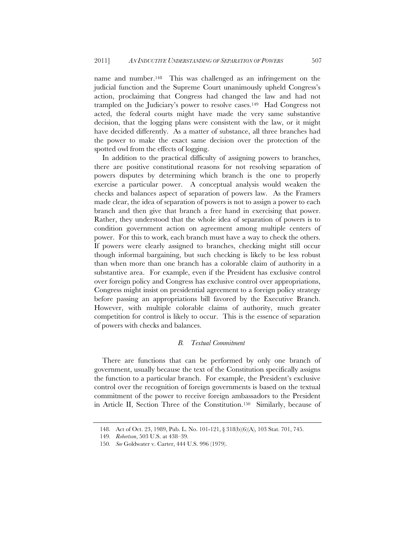name and number.<sup>148</sup> This was challenged as an infringement on the judicial function and the Supreme Court unanimously upheld Congress's action, proclaiming that Congress had changed the law and had not trampled on the Judiciary's power to resolve cases.149 Had Congress not acted, the federal courts might have made the very same substantive decision, that the logging plans were consistent with the law, or it might have decided differently. As a matter of substance, all three branches had the power to make the exact same decision over the protection of the spotted owl from the effects of logging.

In addition to the practical difficulty of assigning powers to branches, there are positive constitutional reasons for not resolving separation of powers disputes by determining which branch is the one to properly exercise a particular power. A conceptual analysis would weaken the checks and balances aspect of separation of powers law. As the Framers made clear, the idea of separation of powers is not to assign a power to each branch and then give that branch a free hand in exercising that power. Rather, they understood that the whole idea of separation of powers is to condition government action on agreement among multiple centers of power. For this to work, each branch must have a way to check the others. If powers were clearly assigned to branches, checking might still occur though informal bargaining, but such checking is likely to be less robust than when more than one branch has a colorable claim of authority in a substantive area. For example, even if the President has exclusive control over foreign policy and Congress has exclusive control over appropriations, Congress might insist on presidential agreement to a foreign policy strategy before passing an appropriations bill favored by the Executive Branch. However, with multiple colorable claims of authority, much greater competition for control is likely to occur. This is the essence of separation of powers with checks and balances.

# *B. Textual Commitment*

There are functions that can be performed by only one branch of government, usually because the text of the Constitution specifically assigns the function to a particular branch. For example, the President's exclusive control over the recognition of foreign governments is based on the textual commitment of the power to receive foreign ambassadors to the President in Article II, Section Three of the Constitution.150 Similarly, because of

<sup>148.</sup> Act of Oct. 23, 1989, Pub. L. No. 101-121, § 318(b)(6)(A), 103 Stat. 701, 745.

<sup>149</sup>*. Robertson*, 503 U.S. at 438–39.

<sup>150</sup>*. See* Goldwater v. Carter, 444 U.S. 996 (1979).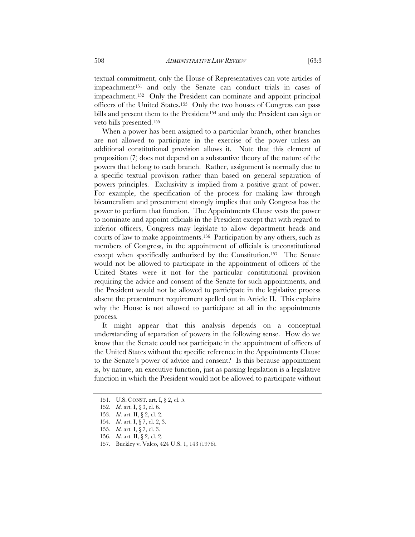textual commitment, only the House of Representatives can vote articles of impeachment151 and only the Senate can conduct trials in cases of impeachment.152 Only the President can nominate and appoint principal officers of the United States.153 Only the two houses of Congress can pass bills and present them to the President<sup>154</sup> and only the President can sign or veto bills presented.155

When a power has been assigned to a particular branch, other branches are not allowed to participate in the exercise of the power unless an additional constitutional provision allows it. Note that this element of proposition (7) does not depend on a substantive theory of the nature of the powers that belong to each branch. Rather, assignment is normally due to a specific textual provision rather than based on general separation of powers principles. Exclusivity is implied from a positive grant of power. For example, the specification of the process for making law through bicameralism and presentment strongly implies that only Congress has the power to perform that function. The Appointments Clause vests the power to nominate and appoint officials in the President except that with regard to inferior officers, Congress may legislate to allow department heads and courts of law to make appointments.156 Participation by any others, such as members of Congress, in the appointment of officials is unconstitutional except when specifically authorized by the Constitution.157 The Senate would not be allowed to participate in the appointment of officers of the United States were it not for the particular constitutional provision requiring the advice and consent of the Senate for such appointments, and the President would not be allowed to participate in the legislative process absent the presentment requirement spelled out in Article II. This explains why the House is not allowed to participate at all in the appointments process.

It might appear that this analysis depends on a conceptual understanding of separation of powers in the following sense. How do we know that the Senate could not participate in the appointment of officers of the United States without the specific reference in the Appointments Clause to the Senate's power of advice and consent? Is this because appointment is, by nature, an executive function, just as passing legislation is a legislative function in which the President would not be allowed to participate without

 <sup>151.</sup> U.S. CONST. art. I, § 2, cl. 5.

<sup>152</sup>*. Id*. art. I, § 3, cl. 6.

<sup>153</sup>*. Id*. art. II, § 2, cl. 2.

<sup>154</sup>*. Id*. art. I, § 7, cl. 2, 3.

<sup>155</sup>*. Id*. art. I, § 7, cl. 3.

<sup>156</sup>*. Id*. art. II, § 2, cl. 2.

<sup>157.</sup> Buckley v. Valeo, 424 U.S. 1, 143 (1976).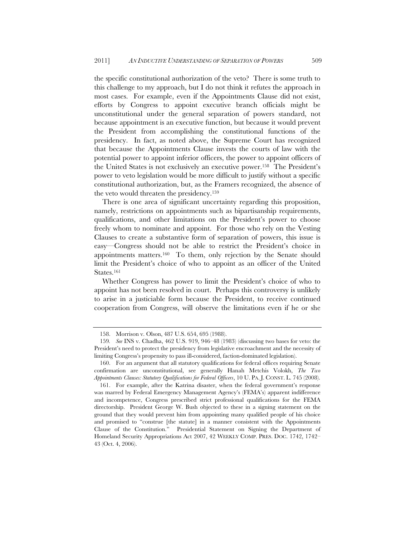the specific constitutional authorization of the veto? There is some truth to this challenge to my approach, but I do not think it refutes the approach in most cases. For example, even if the Appointments Clause did not exist, efforts by Congress to appoint executive branch officials might be unconstitutional under the general separation of powers standard, not because appointment is an executive function, but because it would prevent the President from accomplishing the constitutional functions of the presidency. In fact, as noted above, the Supreme Court has recognized that because the Appointments Clause invests the courts of law with the potential power to appoint inferior officers, the power to appoint officers of the United States is not exclusively an executive power.158 The President's power to veto legislation would be more difficult to justify without a specific constitutional authorization, but, as the Framers recognized, the absence of the veto would threaten the presidency.159

There is one area of significant uncertainty regarding this proposition, namely, restrictions on appointments such as bipartisanship requirements, qualifications, and other limitations on the President's power to choose freely whom to nominate and appoint. For those who rely on the Vesting Clauses to create a substantive form of separation of powers, this issue is easy—Congress should not be able to restrict the President's choice in appointments matters.160 To them, only rejection by the Senate should limit the President's choice of who to appoint as an officer of the United States.161

Whether Congress has power to limit the President's choice of who to appoint has not been resolved in court. Perhaps this controversy is unlikely to arise in a justiciable form because the President, to receive continued cooperation from Congress, will observe the limitations even if he or she

<sup>158.</sup> Morrison v. Olson, 487 U.S. 654, 695 (1988).

<sup>159</sup>*. See* INS v. Chadha, 462 U.S. 919, 946–48 (1983) (discussing two bases for veto: the President's need to protect the presidency from legislative encroachment and the necessity of limiting Congress's propensity to pass ill-considered, faction-dominated legislation).

<sup>160.</sup> For an argument that all statutory qualifications for federal offices requiring Senate confirmation are unconstitutional, see generally Hanah Metchis Volokh, *The Two Appointments Clauses: Statutory Qualifications for Federal Officers*, 10 U. PA. J. CONST. L. 745 (2008).

 <sup>161.</sup> For example, after the Katrina disaster, when the federal government's response was marred by Federal Emergency Management Agency's (FEMA's) apparent indifference and incompetence, Congress prescribed strict professional qualifications for the FEMA directorship. President George W. Bush objected to these in a signing statement on the ground that they would prevent him from appointing many qualified people of his choice and promised to "construe [the statute] in a manner consistent with the Appointments Clause of the Constitution." Presidential Statement on Signing the Department of Homeland Security Appropriations Act 2007, 42 WEEKLY COMP. PRES. DOC. 1742, 1742– 43 (Oct. 4, 2006).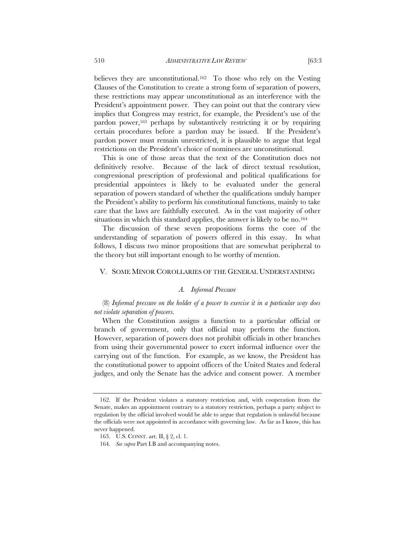believes they are unconstitutional.<sup>162</sup> To those who rely on the Vesting Clauses of the Constitution to create a strong form of separation of powers, these restrictions may appear unconstitutional as an interference with the President's appointment power. They can point out that the contrary view implies that Congress may restrict, for example, the President's use of the pardon power,<sup>163</sup> perhaps by substantively restricting it or by requiring certain procedures before a pardon may be issued. If the President's pardon power must remain unrestricted, it is plausible to argue that legal restrictions on the President's choice of nominees are unconstitutional.

This is one of those areas that the text of the Constitution does not definitively resolve. Because of the lack of direct textual resolution, congressional prescription of professional and political qualifications for presidential appointees is likely to be evaluated under the general separation of powers standard of whether the qualifications unduly hamper the President's ability to perform his constitutional functions, mainly to take care that the laws are faithfully executed. As in the vast majority of other situations in which this standard applies, the answer is likely to be no.<sup>164</sup>

The discussion of these seven propositions forms the core of the understanding of separation of powers offered in this essay. In what follows, I discuss two minor propositions that are somewhat peripheral to the theory but still important enough to be worthy of mention.

# V. SOME MINOR COROLLARIES OF THE GENERAL UNDERSTANDING

# *A. Informal Pressure*

(8) *Informal pressure on the holder of a power to exercise it in a particular way does not violate separation of powers.*

When the Constitution assigns a function to a particular official or branch of government, only that official may perform the function. However, separation of powers does not prohibit officials in other branches from using their governmental power to exert informal influence over the carrying out of the function. For example, as we know, the President has the constitutional power to appoint officers of the United States and federal judges, and only the Senate has the advice and consent power. A member

 <sup>162.</sup> If the President violates a statutory restriction and, with cooperation from the Senate, makes an appointment contrary to a statutory restriction, perhaps a party subject to regulation by the official involved would be able to argue that regulation is unlawful because the officials were not appointed in accordance with governing law. As far as I know, this has never happened.

 <sup>163.</sup> U.S. CONST. art. II, § 2, cl. 1.

<sup>164</sup>*. See supra* Part I.B and accompanying notes.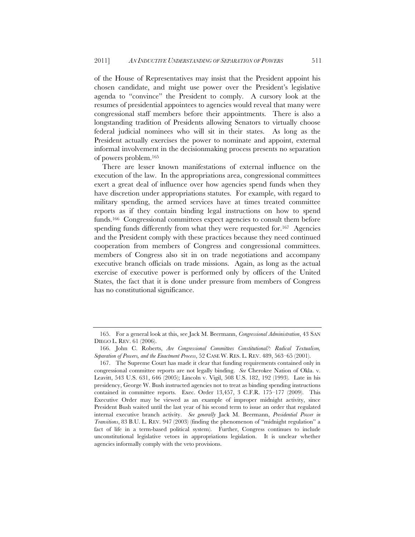of the House of Representatives may insist that the President appoint his chosen candidate, and might use power over the President's legislative agenda to "convince" the President to comply. A cursory look at the resumes of presidential appointees to agencies would reveal that many were congressional staff members before their appointments. There is also a longstanding tradition of Presidents allowing Senators to virtually choose federal judicial nominees who will sit in their states. As long as the President actually exercises the power to nominate and appoint, external informal involvement in the decisionmaking process presents no separation of powers problem.165

There are lesser known manifestations of external influence on the execution of the law. In the appropriations area, congressional committees exert a great deal of influence over how agencies spend funds when they have discretion under appropriations statutes. For example, with regard to military spending, the armed services have at times treated committee reports as if they contain binding legal instructions on how to spend funds.<sup>166</sup> Congressional committees expect agencies to consult them before spending funds differently from what they were requested for.<sup>167</sup> Agencies and the President comply with these practices because they need continued cooperation from members of Congress and congressional committees. members of Congress also sit in on trade negotiations and accompany executive branch officials on trade missions. Again, as long as the actual exercise of executive power is performed only by officers of the United States, the fact that it is done under pressure from members of Congress has no constitutional significance.

 <sup>165.</sup> For a general look at this, see Jack M. Beermann, *Congressional Administration*, 43 SAN DIEGO L. REV. 61 (2006).

 <sup>166.</sup> John C. Roberts, *Are Congressional Committees Constitutional?: Radical Textualism, Separation of Powers, and the Enactment Process*, 52 CASE W. RES. L. REV. 489, 563–65 (2001).

 <sup>167.</sup> The Supreme Court has made it clear that funding requirements contained only in congressional committee reports are not legally binding. *See* Cherokee Nation of Okla. v. Leavitt, 543 U.S. 631, 646 (2005); Lincoln v. Vigil, 508 U.S. 182, 192 (1993). Late in his presidency, George W. Bush instructed agencies not to treat as binding spending instructions contained in committee reports. Exec. Order 13,457, 3 C.F.R. 175–177 (2009). This Executive Order may be viewed as an example of improper midnight activity, since President Bush waited until the last year of his second term to issue an order that regulated internal executive branch activity. *See generally* Jack M. Beermann, *Presidential Power in Transitions*, 83 B.U. L. REV. 947 (2003) (finding the phenomenon of "midnight regulation" a fact of life in a term-based political system). Further, Congress continues to include unconstitutional legislative vetoes in appropriations legislation. It is unclear whether agencies informally comply with the veto provisions.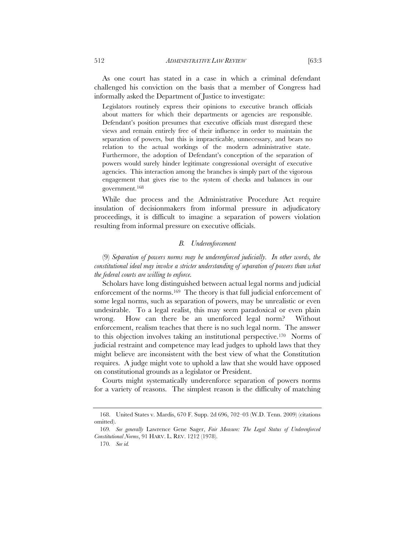As one court has stated in a case in which a criminal defendant challenged his conviction on the basis that a member of Congress had informally asked the Department of Justice to investigate:

Legislators routinely express their opinions to executive branch officials about matters for which their departments or agencies are responsible. Defendant's position presumes that executive officials must disregard these views and remain entirely free of their influence in order to maintain the separation of powers, but this is impracticable, unnecessary, and bears no relation to the actual workings of the modern administrative state. Furthermore, the adoption of Defendant's conception of the separation of powers would surely hinder legitimate congressional oversight of executive agencies. This interaction among the branches is simply part of the vigorous engagement that gives rise to the system of checks and balances in our government.168

While due process and the Administrative Procedure Act require insulation of decisionmakers from informal pressure in adjudicatory proceedings, it is difficult to imagine a separation of powers violation resulting from informal pressure on executive officials.

# *B. Underenforcement*

(9) *Separation of powers norms may be underenforced judicially. In other words, the constitutional ideal may involve a stricter understanding of separation of powers than what the federal courts are willing to enforce.*

Scholars have long distinguished between actual legal norms and judicial enforcement of the norms.169 The theory is that full judicial enforcement of some legal norms, such as separation of powers, may be unrealistic or even undesirable. To a legal realist, this may seem paradoxical or even plain wrong. How can there be an unenforced legal norm? Without enforcement, realism teaches that there is no such legal norm. The answer to this objection involves taking an institutional perspective.170 Norms of judicial restraint and competence may lead judges to uphold laws that they might believe are inconsistent with the best view of what the Constitution requires. A judge might vote to uphold a law that she would have opposed on constitutional grounds as a legislator or President.

Courts might systematically underenforce separation of powers norms for a variety of reasons. The simplest reason is the difficulty of matching

 <sup>168.</sup> United States v. Mardis, 670 F. Supp. 2d 696, 702–03 (W.D. Tenn. 2009) (citations omitted).

<sup>169</sup>*. See generally* Lawrence Gene Sager, *Fair Measure: The Legal Status of Underenforced Constitutional Norms*, 91 HARV. L. REV. 1212 (1978).

<sup>170</sup>*. See id.*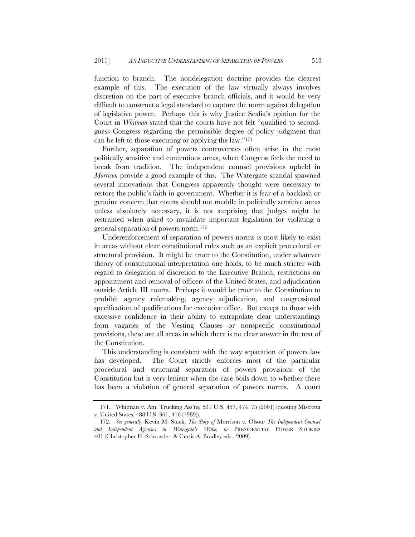function to branch. The nondelegation doctrine provides the clearest example of this. The execution of the law virtually always involves discretion on the part of executive branch officials, and it would be very difficult to construct a legal standard to capture the norm against delegation of legislative power. Perhaps this is why Justice Scalia's opinion for the Court in *Whitman* stated that the courts have not felt "qualified to secondguess Congress regarding the permissible degree of policy judgment that can be left to those executing or applying the law."171

Further, separation of powers controversies often arise in the most politically sensitive and contentious areas, when Congress feels the need to break from tradition. The independent counsel provisions upheld in *Morrison* provide a good example of this. The Watergate scandal spawned several innovations that Congress apparently thought were necessary to restore the public's faith in government. Whether it is fear of a backlash or genuine concern that courts should not meddle in politically sensitive areas unless absolutely necessary, it is not surprising that judges might be restrained when asked to invalidate important legislation for violating a general separation of powers norm.172

Underenforcement of separation of powers norms is most likely to exist in areas without clear constitutional rules such as an explicit procedural or structural provision. It might be truer to the Constitution, under whatever theory of constitutional interpretation one holds, to be much stricter with regard to delegation of discretion to the Executive Branch, restrictions on appointment and removal of officers of the United States, and adjudication outside Article III courts. Perhaps it would be truer to the Constitution to prohibit agency rulemaking, agency adjudication, and congressional specification of qualifications for executive office. But except to those with excessive confidence in their ability to extrapolate clear understandings from vagaries of the Vesting Clauses or nonspecific constitutional provisions, these are all areas in which there is no clear answer in the text of the Constitution.

This understanding is consistent with the way separation of powers law has developed. The Court strictly enforces most of the particular procedural and structural separation of powers provisions of the Constitution but is very lenient when the case boils down to whether there has been a violation of general separation of powers norms. A court

<sup>171.</sup> Whitman v. Am. Trucking Ass'ns, 531 U.S. 457, 474–75 (2001) (quoting Mistretta v. United States, 488 U.S. 361, 416 (1989)).

<sup>172</sup>*. See generally* Kevin M. Stack, *The Story of* Morrison v. Olson*: The Independent Counsel and Independent Agencies in Watergate's Wake*, *in* PRESIDENTIAL POWER STORIES 401 (Christopher H. Schroeder & Curtis A. Bradley eds., 2009).